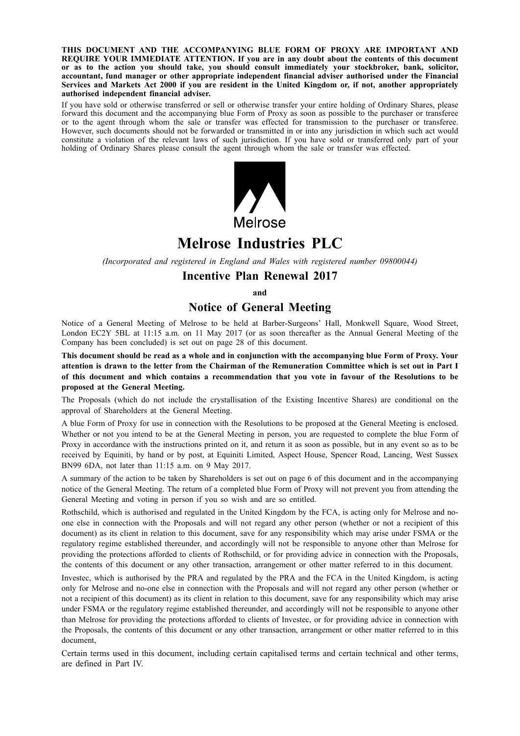**THIS DOCUMENT AND THE ACCOMPANYING BLUE FORM OF PROXY ARE IMPORTANT AND REQUIRE YOUR IMMEDIATE ATTENTION. If you are in any doubt about the contents of this document or as to the action you should take, you should consult immediately your stockbroker, bank, solicitor, accountant, fund manager or other appropriate independent financial adviser authorised under the Financial** Services and Markets Act 2000 if you are resident in the United Kingdom or, if not, another appropriately **authorised independent financial adviser.**

If you have sold or otherwise transferred or sell or otherwise transfer your entire holding of Ordinary Shares, please forward this document and the accompanying blue Form of Proxy as soon as possible to the purchaser or transferee or to the agent through whom the sale or transfer was effected for transmission to the purchaser or transferee. However, such documents should not be forwarded or transmitted in or into any jurisdiction in which such act would constitute a violation of the relevant laws of such jurisdiction. If you have sold or transferred only part of your holding of Ordinary Shares please consult the agent through whom the sale or transfer was effected.



# **Melrose Industries PLC**

*(Incorporated and registered in England and Wales with registered number 09800044)*

# **Incentive Plan Renewal 2017**

**and**

# **Notice of General Meeting**

Notice of a General Meeting of Melrose to be held at Barber-Surgeons' Hall, Monkwell Square, Wood Street, London EC2Y 5BL at 11:15 a.m. on 11 May 2017 (or as soon thereafter as the Annual General Meeting of the Company has been concluded) is set out on page 28 of this document.

This document should be read as a whole and in conjunction with the accompanying blue Form of Proxy. Your attention is drawn to the letter from the Chairman of the Remuneration Committee which is set out in Part I of this document and which contains a recommendation that you vote in favour of the Resolutions to be **proposed at the General Meeting.**

The Proposals (which do not include the crystallisation of the Existing Incentive Shares) are conditional on the approval of Shareholders at the General Meeting.

A blue Form of Proxy for use in connection with the Resolutions to be proposed at the General Meeting is enclosed. Whether or not you intend to be at the General Meeting in person, you are requested to complete the blue Form of Proxy in accordance with the instructions printed on it, and return it as soon as possible, but in any event so as to be received by Equiniti, by hand or by post, at Equiniti Limited, Aspect House, Spencer Road, Lancing, West Sussex BN99 6DA, not later than 11:15 a.m. on 9 May 2017.

A summary of the action to be taken by Shareholders is set out on page 6 of this document and in the accompanying notice of the General Meeting. The return of a completed blue Form of Proxy will not prevent you from attending the General Meeting and voting in person if you so wish and are so entitled.

Rothschild, which is authorised and regulated in the United Kingdom by the FCA, is acting only for Melrose and noone else in connection with the Proposals and will not regard any other person (whether or not a recipient of this document) as its client in relation to this document, save for any responsibility which may arise under FSMA or the regulatory regime established thereunder, and accordingly will not be responsible to anyone other than Melrose for providing the protections afforded to clients of Rothschild, or for providing advice in connection with the Proposals, the contents of this document or any other transaction, arrangement or other matter referred to in this document.

Investec, which is authorised by the PRA and regulated by the PRA and the FCA in the United Kingdom, is acting only for Melrose and no-one else in connection with the Proposals and will not regard any other person (whether or not a recipient of this document) as its client in relation to this document, save for any responsibility which may arise under FSMA or the regulatory regime established thereunder, and accordingly will not be responsible to anyone other than Melrose for providing the protections afforded to clients of Investec, or for providing advice in connection with the Proposals, the contents of this document or any other transaction, arrangement or other matter referred to in this document,

Certain terms used in this document, including certain capitalised terms and certain technical and other terms, are defined in Part IV.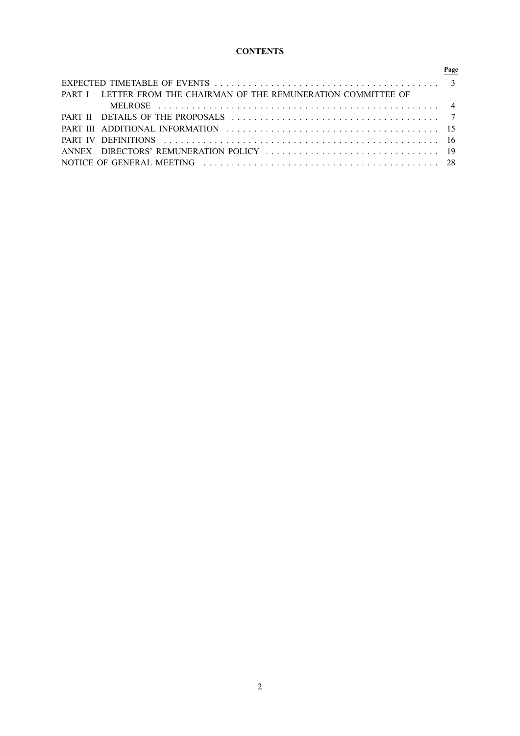# **CONTENTS**

|                                                                  | Page |
|------------------------------------------------------------------|------|
|                                                                  |      |
| PART I LETTER FROM THE CHAIRMAN OF THE REMUNERATION COMMITTEE OF |      |
|                                                                  |      |
|                                                                  |      |
|                                                                  |      |
| <b>PART IV DEFINITIONS <i>CONSTRUCTIONS</i></b>                  |      |
|                                                                  |      |
|                                                                  |      |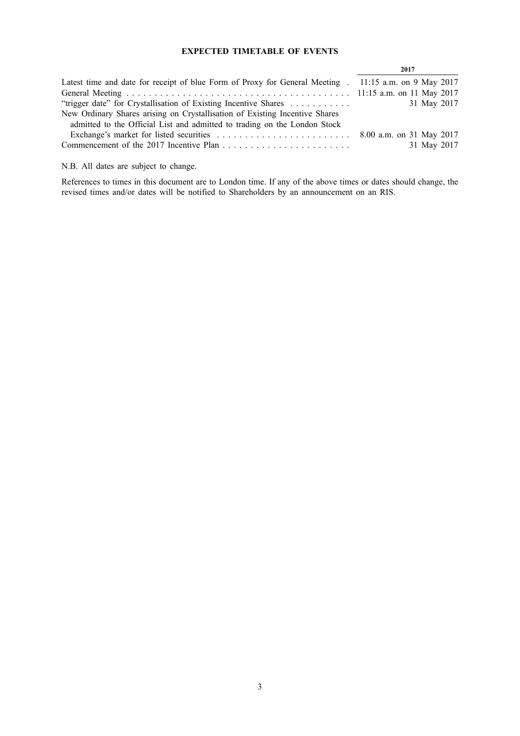# **EXPECTED TIMETABLE OF EVENTS**

|                                                                                                       | 2017        |
|-------------------------------------------------------------------------------------------------------|-------------|
| Latest time and date for receipt of blue Form of Proxy for General Meeting . 11:15 a.m. on 9 May 2017 |             |
|                                                                                                       |             |
| "trigger date" for Crystallisation of Existing Incentive Shares                                       | 31 May 2017 |
| New Ordinary Shares arising on Crystallisation of Existing Incentive Shares                           |             |
| admitted to the Official List and admitted to trading on the London Stock                             |             |
|                                                                                                       |             |
|                                                                                                       | 31 May 2017 |
|                                                                                                       |             |

N.B. All dates are subject to change.

References to times in this document are to London time. If any of the above times or dates should change, the revised times and/or dates will be notified to Shareholders by an announcement on an RIS.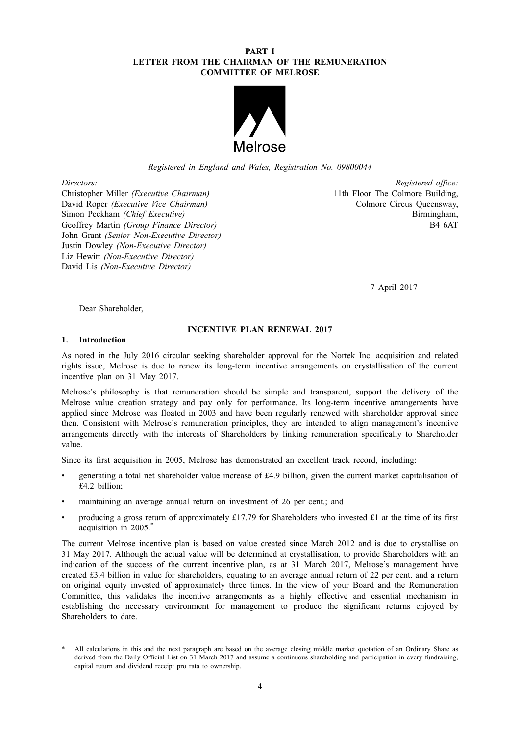### **PART I LETTER FROM THE CHAIRMAN OF THE REMUNERATION COMMITTEE OF MELROSE**



*Registered in England and Wales, Registration No. 09800044*

Christopher Miller *(Executive Chairman)* 11th Floor The Colmore Building, David Roper *(Executive Vice Chairman)* Colmore Circus Queensway, Simon Peckham *(Chief Executive)* Birmingham, Geoffrey Martin *(Group Finance Director)* Birmingham, Birmingham, Birmingham, Birmingham, Birmingham, Birmingham, Birmingham, Birmingham, Birmingham, Birmingham, Birmingham, B **Geoffrey Martin** *(Group Finance Director)* John Grant *(Senior Non-Executive Director)* Justin Dowley *(Non-Executive Director)* Liz Hewitt *(Non-Executive Director)* David Lis *(Non-Executive Director)*

*Directors: Registered office:*

7 April 2017

Dear Shareholder,

### **INCENTIVE PLAN RENEWAL 2017**

# **1. Introduction**

As noted in the July 2016 circular seeking shareholder approval for the Nortek Inc. acquisition and related rights issue, Melrose is due to renew its long-term incentive arrangements on crystallisation of the current incentive plan on 31 May 2017.

Melrose's philosophy is that remuneration should be simple and transparent, support the delivery of the Melrose value creation strategy and pay only for performance. Its long-term incentive arrangements have applied since Melrose was floated in 2003 and have been regularly renewed with shareholder approval since then. Consistent with Melrose's remuneration principles, they are intended to align management's incentive arrangements directly with the interests of Shareholders by linking remuneration specifically to Shareholder value.

Since its first acquisition in 2005, Melrose has demonstrated an excellent track record, including:

- generating a total net shareholder value increase of £4.9 billion, given the current market capitalisation of £4.2 billion;
- maintaining an average annual return on investment of 26 per cent.; and
- producing a gross return of approximately £17.79 for Shareholders who invested £1 at the time of its first acquisition in 2005.\*

The current Melrose incentive plan is based on value created since March 2012 and is due to crystallise on 31 May 2017. Although the actual value will be determined at crystallisation, to provide Shareholders with an indication of the success of the current incentive plan, as at 31 March 2017, Melrose's management have created £3.4 billion in value for shareholders, equating to an average annual return of 22 per cent. and a return on original equity invested of approximately three times. In the view of your Board and the Remuneration Committee, this validates the incentive arrangements as a highly effective and essential mechanism in establishing the necessary environment for management to produce the significant returns enjoyed by Shareholders to date.

All calculations in this and the next paragraph are based on the average closing middle market quotation of an Ordinary Share as derived from the Daily Official List on 31 March 2017 and assume a continuous shareholding and participation in every fundraising, capital return and dividend receipt pro rata to ownership.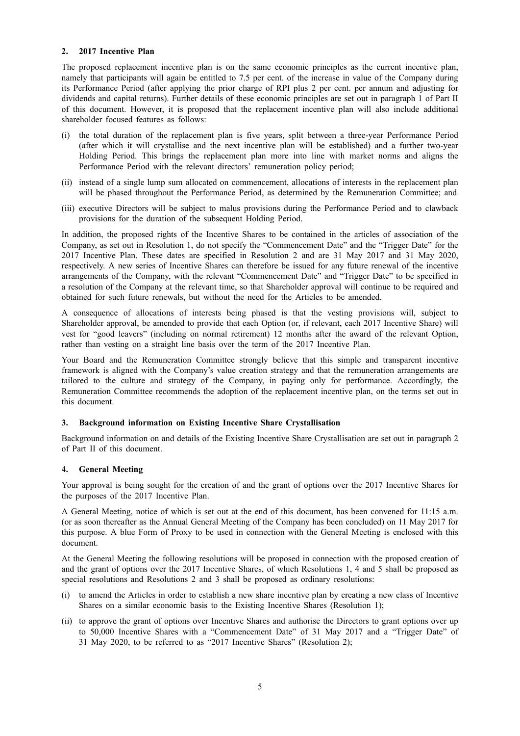#### **2. 2017 Incentive Plan**

The proposed replacement incentive plan is on the same economic principles as the current incentive plan, namely that participants will again be entitled to 7.5 per cent. of the increase in value of the Company during its Performance Period (after applying the prior charge of RPI plus 2 per cent. per annum and adjusting for dividends and capital returns). Further details of these economic principles are set out in paragraph 1 of Part II of this document. However, it is proposed that the replacement incentive plan will also include additional shareholder focused features as follows:

- (i) the total duration of the replacement plan is five years, split between a three-year Performance Period (after which it will crystallise and the next incentive plan will be established) and a further two-year Holding Period. This brings the replacement plan more into line with market norms and aligns the Performance Period with the relevant directors' remuneration policy period;
- (ii) instead of a single lump sum allocated on commencement, allocations of interests in the replacement plan will be phased throughout the Performance Period, as determined by the Remuneration Committee; and
- (iii) executive Directors will be subject to malus provisions during the Performance Period and to clawback provisions for the duration of the subsequent Holding Period.

In addition, the proposed rights of the Incentive Shares to be contained in the articles of association of the Company, as set out in Resolution 1, do not specify the "Commencement Date" and the "Trigger Date" for the 2017 Incentive Plan. These dates are specified in Resolution 2 and are 31 May 2017 and 31 May 2020, respectively. A new series of Incentive Shares can therefore be issued for any future renewal of the incentive arrangements of the Company, with the relevant "Commencement Date" and "Trigger Date" to be specified in a resolution of the Company at the relevant time, so that Shareholder approval will continue to be required and obtained for such future renewals, but without the need for the Articles to be amended.

A consequence of allocations of interests being phased is that the vesting provisions will, subject to Shareholder approval, be amended to provide that each Option (or, if relevant, each 2017 Incentive Share) will vest for "good leavers" (including on normal retirement) 12 months after the award of the relevant Option, rather than vesting on a straight line basis over the term of the 2017 Incentive Plan.

Your Board and the Remuneration Committee strongly believe that this simple and transparent incentive framework is aligned with the Company's value creation strategy and that the remuneration arrangements are tailored to the culture and strategy of the Company, in paying only for performance. Accordingly, the Remuneration Committee recommends the adoption of the replacement incentive plan, on the terms set out in this document.

### **3. Background information on Existing Incentive Share Crystallisation**

Background information on and details of the Existing Incentive Share Crystallisation are set out in paragraph 2 of Part II of this document.

### **4. General Meeting**

Your approval is being sought for the creation of and the grant of options over the 2017 Incentive Shares for the purposes of the 2017 Incentive Plan.

A General Meeting, notice of which is set out at the end of this document, has been convened for 11:15 a.m. (or as soon thereafter as the Annual General Meeting of the Company has been concluded) on 11 May 2017 for this purpose. A blue Form of Proxy to be used in connection with the General Meeting is enclosed with this document.

At the General Meeting the following resolutions will be proposed in connection with the proposed creation of and the grant of options over the 2017 Incentive Shares, of which Resolutions 1, 4 and 5 shall be proposed as special resolutions and Resolutions 2 and 3 shall be proposed as ordinary resolutions:

- (i) to amend the Articles in order to establish a new share incentive plan by creating a new class of Incentive Shares on a similar economic basis to the Existing Incentive Shares (Resolution 1);
- (ii) to approve the grant of options over Incentive Shares and authorise the Directors to grant options over up to 50,000 Incentive Shares with a "Commencement Date" of 31 May 2017 and a "Trigger Date" of 31 May 2020, to be referred to as "2017 Incentive Shares" (Resolution 2);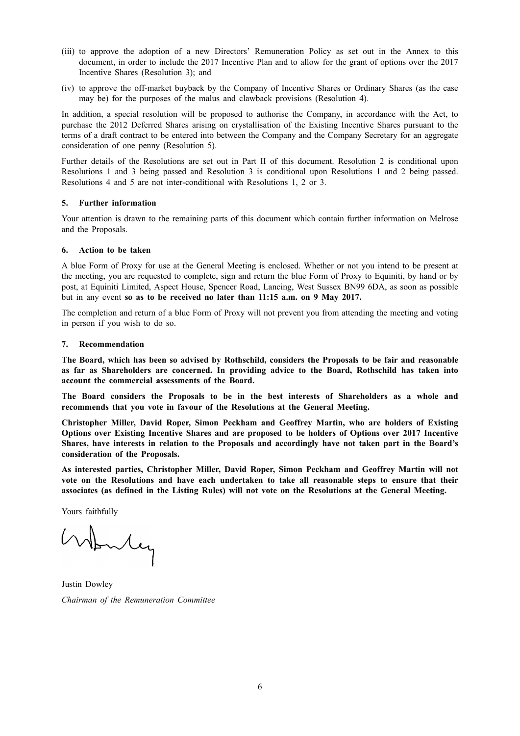- (iii) to approve the adoption of a new Directors' Remuneration Policy as set out in the Annex to this document, in order to include the 2017 Incentive Plan and to allow for the grant of options over the 2017 Incentive Shares (Resolution 3); and
- (iv) to approve the off-market buyback by the Company of Incentive Shares or Ordinary Shares (as the case may be) for the purposes of the malus and clawback provisions (Resolution 4).

In addition, a special resolution will be proposed to authorise the Company, in accordance with the Act, to purchase the 2012 Deferred Shares arising on crystallisation of the Existing Incentive Shares pursuant to the terms of a draft contract to be entered into between the Company and the Company Secretary for an aggregate consideration of one penny (Resolution 5).

Further details of the Resolutions are set out in Part II of this document. Resolution 2 is conditional upon Resolutions 1 and 3 being passed and Resolution 3 is conditional upon Resolutions 1 and 2 being passed. Resolutions 4 and 5 are not inter-conditional with Resolutions 1, 2 or 3.

#### **5. Further information**

Your attention is drawn to the remaining parts of this document which contain further information on Melrose and the Proposals.

#### **6. Action to be taken**

A blue Form of Proxy for use at the General Meeting is enclosed. Whether or not you intend to be present at the meeting, you are requested to complete, sign and return the blue Form of Proxy to Equiniti, by hand or by post, at Equiniti Limited, Aspect House, Spencer Road, Lancing, West Sussex BN99 6DA, as soon as possible but in any event **so as to be received no later than 11:15 a.m. on 9 May 2017.**

The completion and return of a blue Form of Proxy will not prevent you from attending the meeting and voting in person if you wish to do so.

#### **7. Recommendation**

**The Board, which has been so advised by Rothschild, considers the Proposals to be fair and reasonable as far as Shareholders are concerned. In providing advice to the Board, Rothschild has taken into account the commercial assessments of the Board.**

**The Board considers the Proposals to be in the best interests of Shareholders as a whole and recommends that you vote in favour of the Resolutions at the General Meeting.**

**Christopher Miller, David Roper, Simon Peckham and Geoffrey Martin, who are holders of Existing Options over Existing Incentive Shares and are proposed to be holders of Options over 2017 Incentive Shares, have interests in relation to the Proposals and accordingly have not taken part in the Board's consideration of the Proposals.**

**As interested parties, Christopher Miller, David Roper, Simon Peckham and Geoffrey Martin will not vote on the Resolutions and have each undertaken to take all reasonable steps to ensure that their associates (as defined in the Listing Rules) will not vote on the Resolutions at the General Meeting.**

Yours faithfully

Wonley

Justin Dowley *Chairman of the Remuneration Committee*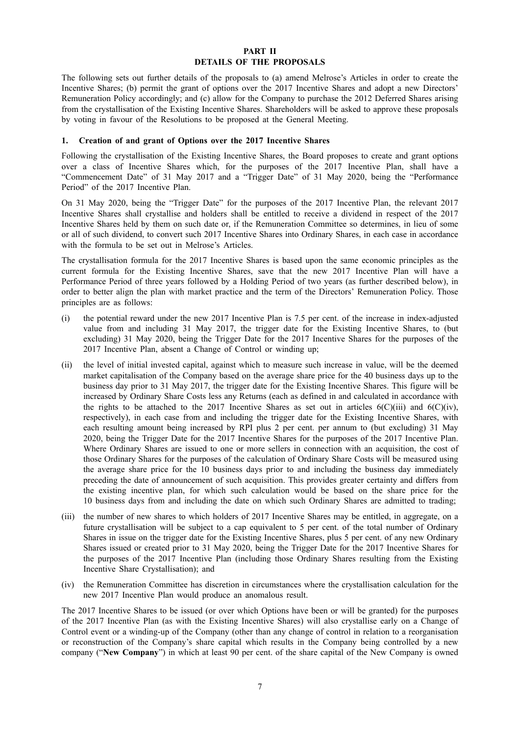#### **PART II DETAILS OF THE PROPOSALS**

The following sets out further details of the proposals to (a) amend Melrose's Articles in order to create the Incentive Shares; (b) permit the grant of options over the 2017 Incentive Shares and adopt a new Directors' Remuneration Policy accordingly; and (c) allow for the Company to purchase the 2012 Deferred Shares arising from the crystallisation of the Existing Incentive Shares. Shareholders will be asked to approve these proposals by voting in favour of the Resolutions to be proposed at the General Meeting.

#### **1. Creation of and grant of Options over the 2017 Incentive Shares**

Following the crystallisation of the Existing Incentive Shares, the Board proposes to create and grant options over a class of Incentive Shares which, for the purposes of the 2017 Incentive Plan, shall have a "Commencement Date" of 31 May 2017 and a "Trigger Date" of 31 May 2020, being the "Performance Period" of the 2017 Incentive Plan.

On 31 May 2020, being the "Trigger Date" for the purposes of the 2017 Incentive Plan, the relevant 2017 Incentive Shares shall crystallise and holders shall be entitled to receive a dividend in respect of the 2017 Incentive Shares held by them on such date or, if the Remuneration Committee so determines, in lieu of some or all of such dividend, to convert such 2017 Incentive Shares into Ordinary Shares, in each case in accordance with the formula to be set out in Melrose's Articles.

The crystallisation formula for the 2017 Incentive Shares is based upon the same economic principles as the current formula for the Existing Incentive Shares, save that the new 2017 Incentive Plan will have a Performance Period of three years followed by a Holding Period of two years (as further described below), in order to better align the plan with market practice and the term of the Directors' Remuneration Policy. Those principles are as follows:

- (i) the potential reward under the new 2017 Incentive Plan is 7.5 per cent. of the increase in index-adjusted value from and including 31 May 2017, the trigger date for the Existing Incentive Shares, to (but excluding) 31 May 2020, being the Trigger Date for the 2017 Incentive Shares for the purposes of the 2017 Incentive Plan, absent a Change of Control or winding up;
- (ii) the level of initial invested capital, against which to measure such increase in value, will be the deemed market capitalisation of the Company based on the average share price for the 40 business days up to the business day prior to 31 May 2017, the trigger date for the Existing Incentive Shares. This figure will be increased by Ordinary Share Costs less any Returns (each as defined in and calculated in accordance with the rights to be attached to the 2017 Incentive Shares as set out in articles  $6(C)(iii)$  and  $6(C)(iv)$ , respectively), in each case from and including the trigger date for the Existing Incentive Shares, with each resulting amount being increased by RPI plus 2 per cent. per annum to (but excluding) 31 May 2020, being the Trigger Date for the 2017 Incentive Shares for the purposes of the 2017 Incentive Plan. Where Ordinary Shares are issued to one or more sellers in connection with an acquisition, the cost of those Ordinary Shares for the purposes of the calculation of Ordinary Share Costs will be measured using the average share price for the 10 business days prior to and including the business day immediately preceding the date of announcement of such acquisition. This provides greater certainty and differs from the existing incentive plan, for which such calculation would be based on the share price for the 10 business days from and including the date on which such Ordinary Shares are admitted to trading;
- (iii) the number of new shares to which holders of 2017 Incentive Shares may be entitled, in aggregate, on a future crystallisation will be subject to a cap equivalent to 5 per cent. of the total number of Ordinary Shares in issue on the trigger date for the Existing Incentive Shares, plus 5 per cent. of any new Ordinary Shares issued or created prior to 31 May 2020, being the Trigger Date for the 2017 Incentive Shares for the purposes of the 2017 Incentive Plan (including those Ordinary Shares resulting from the Existing Incentive Share Crystallisation); and
- (iv) the Remuneration Committee has discretion in circumstances where the crystallisation calculation for the new 2017 Incentive Plan would produce an anomalous result.

The 2017 Incentive Shares to be issued (or over which Options have been or will be granted) for the purposes of the 2017 Incentive Plan (as with the Existing Incentive Shares) will also crystallise early on a Change of Control event or a winding-up of the Company (other than any change of control in relation to a reorganisation or reconstruction of the Company's share capital which results in the Company being controlled by a new company ("**New Company**") in which at least 90 per cent. of the share capital of the New Company is owned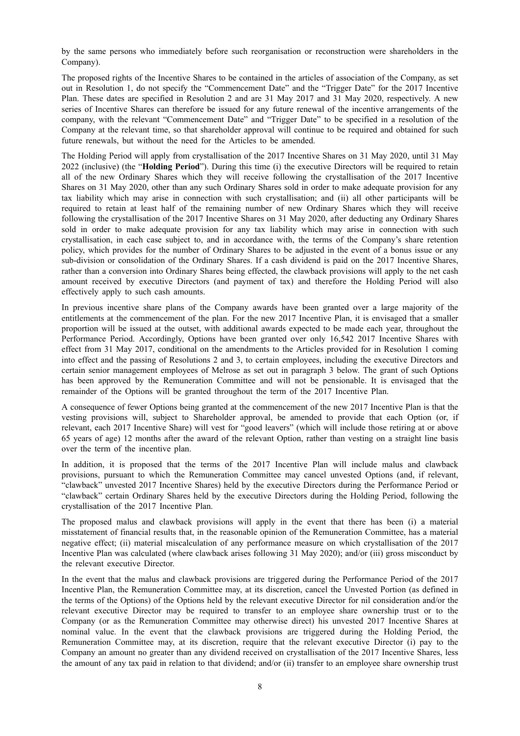by the same persons who immediately before such reorganisation or reconstruction were shareholders in the Company).

The proposed rights of the Incentive Shares to be contained in the articles of association of the Company, as set out in Resolution 1, do not specify the "Commencement Date" and the "Trigger Date" for the 2017 Incentive Plan. These dates are specified in Resolution 2 and are 31 May 2017 and 31 May 2020, respectively. A new series of Incentive Shares can therefore be issued for any future renewal of the incentive arrangements of the company, with the relevant "Commencement Date" and "Trigger Date" to be specified in a resolution of the Company at the relevant time, so that shareholder approval will continue to be required and obtained for such future renewals, but without the need for the Articles to be amended.

The Holding Period will apply from crystallisation of the 2017 Incentive Shares on 31 May 2020, until 31 May 2022 (inclusive) (the "**Holding Period**"). During this time (i) the executive Directors will be required to retain all of the new Ordinary Shares which they will receive following the crystallisation of the 2017 Incentive Shares on 31 May 2020, other than any such Ordinary Shares sold in order to make adequate provision for any tax liability which may arise in connection with such crystallisation; and (ii) all other participants will be required to retain at least half of the remaining number of new Ordinary Shares which they will receive following the crystallisation of the 2017 Incentive Shares on 31 May 2020, after deducting any Ordinary Shares sold in order to make adequate provision for any tax liability which may arise in connection with such crystallisation, in each case subject to, and in accordance with, the terms of the Company's share retention policy, which provides for the number of Ordinary Shares to be adjusted in the event of a bonus issue or any sub-division or consolidation of the Ordinary Shares. If a cash dividend is paid on the 2017 Incentive Shares, rather than a conversion into Ordinary Shares being effected, the clawback provisions will apply to the net cash amount received by executive Directors (and payment of tax) and therefore the Holding Period will also effectively apply to such cash amounts.

In previous incentive share plans of the Company awards have been granted over a large majority of the entitlements at the commencement of the plan. For the new 2017 Incentive Plan, it is envisaged that a smaller proportion will be issued at the outset, with additional awards expected to be made each year, throughout the Performance Period. Accordingly, Options have been granted over only 16,542 2017 Incentive Shares with effect from 31 May 2017, conditional on the amendments to the Articles provided for in Resolution 1 coming into effect and the passing of Resolutions 2 and 3, to certain employees, including the executive Directors and certain senior management employees of Melrose as set out in paragraph 3 below. The grant of such Options has been approved by the Remuneration Committee and will not be pensionable. It is envisaged that the remainder of the Options will be granted throughout the term of the 2017 Incentive Plan.

A consequence of fewer Options being granted at the commencement of the new 2017 Incentive Plan is that the vesting provisions will, subject to Shareholder approval, be amended to provide that each Option (or, if relevant, each 2017 Incentive Share) will vest for "good leavers" (which will include those retiring at or above 65 years of age) 12 months after the award of the relevant Option, rather than vesting on a straight line basis over the term of the incentive plan.

In addition, it is proposed that the terms of the 2017 Incentive Plan will include malus and clawback provisions, pursuant to which the Remuneration Committee may cancel unvested Options (and, if relevant, "clawback" unvested 2017 Incentive Shares) held by the executive Directors during the Performance Period or "clawback" certain Ordinary Shares held by the executive Directors during the Holding Period, following the crystallisation of the 2017 Incentive Plan.

The proposed malus and clawback provisions will apply in the event that there has been (i) a material misstatement of financial results that, in the reasonable opinion of the Remuneration Committee, has a material negative effect; (ii) material miscalculation of any performance measure on which crystallisation of the 2017 Incentive Plan was calculated (where clawback arises following 31 May 2020); and/or (iii) gross misconduct by the relevant executive Director.

In the event that the malus and clawback provisions are triggered during the Performance Period of the 2017 Incentive Plan, the Remuneration Committee may, at its discretion, cancel the Unvested Portion (as defined in the terms of the Options) of the Options held by the relevant executive Director for nil consideration and/or the relevant executive Director may be required to transfer to an employee share ownership trust or to the Company (or as the Remuneration Committee may otherwise direct) his unvested 2017 Incentive Shares at nominal value. In the event that the clawback provisions are triggered during the Holding Period, the Remuneration Committee may, at its discretion, require that the relevant executive Director (i) pay to the Company an amount no greater than any dividend received on crystallisation of the 2017 Incentive Shares, less the amount of any tax paid in relation to that dividend; and/or (ii) transfer to an employee share ownership trust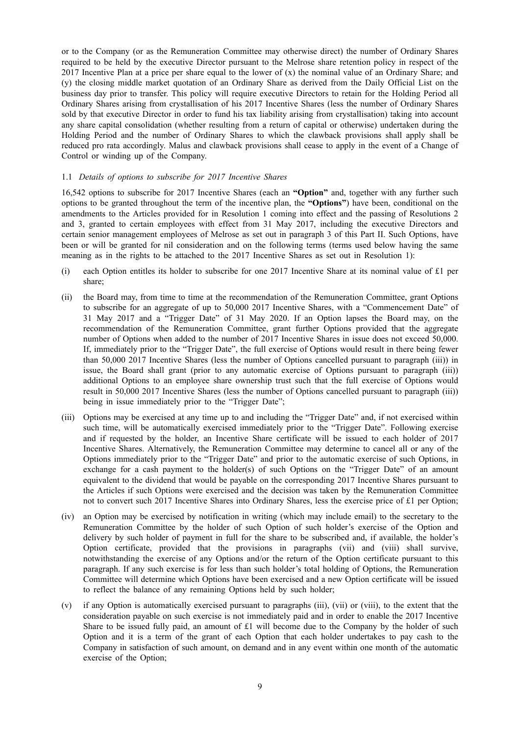or to the Company (or as the Remuneration Committee may otherwise direct) the number of Ordinary Shares required to be held by the executive Director pursuant to the Melrose share retention policy in respect of the 2017 Incentive Plan at a price per share equal to the lower of  $(x)$  the nominal value of an Ordinary Share; and (y) the closing middle market quotation of an Ordinary Share as derived from the Daily Official List on the business day prior to transfer. This policy will require executive Directors to retain for the Holding Period all Ordinary Shares arising from crystallisation of his 2017 Incentive Shares (less the number of Ordinary Shares sold by that executive Director in order to fund his tax liability arising from crystallisation) taking into account any share capital consolidation (whether resulting from a return of capital or otherwise) undertaken during the Holding Period and the number of Ordinary Shares to which the clawback provisions shall apply shall be reduced pro rata accordingly. Malus and clawback provisions shall cease to apply in the event of a Change of Control or winding up of the Company.

#### 1.1 *Details of options to subscribe for 2017 Incentive Shares*

16,542 options to subscribe for 2017 Incentive Shares (each an **"Option"** and, together with any further such options to be granted throughout the term of the incentive plan, the **"Options"**) have been, conditional on the amendments to the Articles provided for in Resolution 1 coming into effect and the passing of Resolutions 2 and 3, granted to certain employees with effect from 31 May 2017, including the executive Directors and certain senior management employees of Melrose as set out in paragraph 3 of this Part II. Such Options, have been or will be granted for nil consideration and on the following terms (terms used below having the same meaning as in the rights to be attached to the 2017 Incentive Shares as set out in Resolution 1):

- (i) each Option entitles its holder to subscribe for one 2017 Incentive Share at its nominal value of  $£1$  per share;
- (ii) the Board may, from time to time at the recommendation of the Remuneration Committee, grant Options to subscribe for an aggregate of up to 50,000 2017 Incentive Shares, with a "Commencement Date" of 31 May 2017 and a "Trigger Date" of 31 May 2020. If an Option lapses the Board may, on the recommendation of the Remuneration Committee, grant further Options provided that the aggregate number of Options when added to the number of 2017 Incentive Shares in issue does not exceed 50,000. If, immediately prior to the "Trigger Date", the full exercise of Options would result in there being fewer than 50,000 2017 Incentive Shares (less the number of Options cancelled pursuant to paragraph (iii)) in issue, the Board shall grant (prior to any automatic exercise of Options pursuant to paragraph (iii)) additional Options to an employee share ownership trust such that the full exercise of Options would result in 50,000 2017 Incentive Shares (less the number of Options cancelled pursuant to paragraph (iii)) being in issue immediately prior to the "Trigger Date";
- (iii) Options may be exercised at any time up to and including the "Trigger Date" and, if not exercised within such time, will be automatically exercised immediately prior to the "Trigger Date". Following exercise and if requested by the holder, an Incentive Share certificate will be issued to each holder of 2017 Incentive Shares. Alternatively, the Remuneration Committee may determine to cancel all or any of the Options immediately prior to the "Trigger Date" and prior to the automatic exercise of such Options, in exchange for a cash payment to the holder(s) of such Options on the "Trigger Date" of an amount equivalent to the dividend that would be payable on the corresponding 2017 Incentive Shares pursuant to the Articles if such Options were exercised and the decision was taken by the Remuneration Committee not to convert such 2017 Incentive Shares into Ordinary Shares, less the exercise price of £1 per Option;
- (iv) an Option may be exercised by notification in writing (which may include email) to the secretary to the Remuneration Committee by the holder of such Option of such holder's exercise of the Option and delivery by such holder of payment in full for the share to be subscribed and, if available, the holder's Option certificate, provided that the provisions in paragraphs (vii) and (viii) shall survive, notwithstanding the exercise of any Options and/or the return of the Option certificate pursuant to this paragraph. If any such exercise is for less than such holder's total holding of Options, the Remuneration Committee will determine which Options have been exercised and a new Option certificate will be issued to reflect the balance of any remaining Options held by such holder;
- (v) if any Option is automatically exercised pursuant to paragraphs (iii), (vii) or (viii), to the extent that the consideration payable on such exercise is not immediately paid and in order to enable the 2017 Incentive Share to be issued fully paid, an amount of £1 will become due to the Company by the holder of such Option and it is a term of the grant of each Option that each holder undertakes to pay cash to the Company in satisfaction of such amount, on demand and in any event within one month of the automatic exercise of the Option;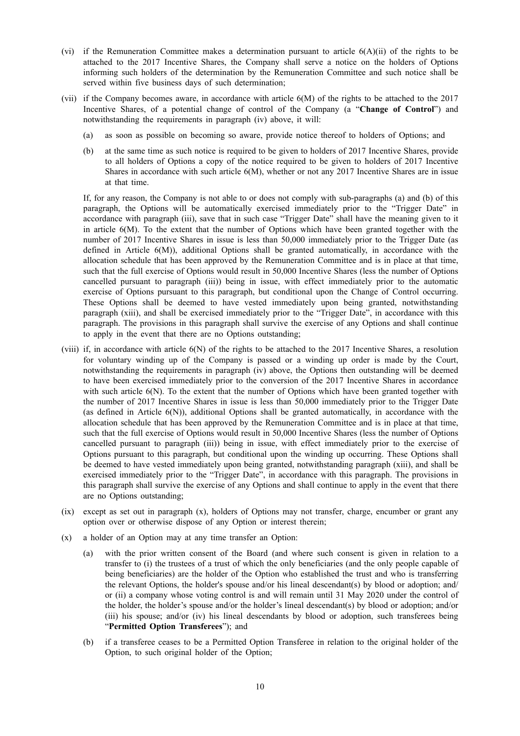- (vi) if the Remuneration Committee makes a determination pursuant to article 6(A)(ii) of the rights to be attached to the 2017 Incentive Shares, the Company shall serve a notice on the holders of Options informing such holders of the determination by the Remuneration Committee and such notice shall be served within five business days of such determination;
- (vii) if the Company becomes aware, in accordance with article 6(M) of the rights to be attached to the 2017 Incentive Shares, of a potential change of control of the Company (a "**Change of Control**") and notwithstanding the requirements in paragraph (iv) above, it will:
	- (a) as soon as possible on becoming so aware, provide notice thereof to holders of Options; and
	- (b) at the same time as such notice is required to be given to holders of 2017 Incentive Shares, provide to all holders of Options a copy of the notice required to be given to holders of 2017 Incentive Shares in accordance with such article 6(M), whether or not any 2017 Incentive Shares are in issue at that time.

If, for any reason, the Company is not able to or does not comply with sub-paragraphs (a) and (b) of this paragraph, the Options will be automatically exercised immediately prior to the "Trigger Date" in accordance with paragraph (iii), save that in such case "Trigger Date" shall have the meaning given to it in article 6(M). To the extent that the number of Options which have been granted together with the number of 2017 Incentive Shares in issue is less than 50,000 immediately prior to the Trigger Date (as defined in Article 6(M)), additional Options shall be granted automatically, in accordance with the allocation schedule that has been approved by the Remuneration Committee and is in place at that time, such that the full exercise of Options would result in 50,000 Incentive Shares (less the number of Options cancelled pursuant to paragraph (iii)) being in issue, with effect immediately prior to the automatic exercise of Options pursuant to this paragraph, but conditional upon the Change of Control occurring. These Options shall be deemed to have vested immediately upon being granted, notwithstanding paragraph (xiii), and shall be exercised immediately prior to the "Trigger Date", in accordance with this paragraph. The provisions in this paragraph shall survive the exercise of any Options and shall continue to apply in the event that there are no Options outstanding;

- (viii) if, in accordance with article 6(N) of the rights to be attached to the 2017 Incentive Shares, a resolution for voluntary winding up of the Company is passed or a winding up order is made by the Court, notwithstanding the requirements in paragraph (iv) above, the Options then outstanding will be deemed to have been exercised immediately prior to the conversion of the 2017 Incentive Shares in accordance with such article 6(N). To the extent that the number of Options which have been granted together with the number of 2017 Incentive Shares in issue is less than 50,000 immediately prior to the Trigger Date (as defined in Article 6(N)), additional Options shall be granted automatically, in accordance with the allocation schedule that has been approved by the Remuneration Committee and is in place at that time, such that the full exercise of Options would result in 50,000 Incentive Shares (less the number of Options cancelled pursuant to paragraph (iii)) being in issue, with effect immediately prior to the exercise of Options pursuant to this paragraph, but conditional upon the winding up occurring. These Options shall be deemed to have vested immediately upon being granted, notwithstanding paragraph (xiii), and shall be exercised immediately prior to the "Trigger Date", in accordance with this paragraph. The provisions in this paragraph shall survive the exercise of any Options and shall continue to apply in the event that there are no Options outstanding;
- (ix) except as set out in paragraph (x), holders of Options may not transfer, charge, encumber or grant any option over or otherwise dispose of any Option or interest therein;
- (x) a holder of an Option may at any time transfer an Option:
	- (a) with the prior written consent of the Board (and where such consent is given in relation to a transfer to (i) the trustees of a trust of which the only beneficiaries (and the only people capable of being beneficiaries) are the holder of the Option who established the trust and who is transferring the relevant Options, the holder's spouse and/or his lineal descendant(s) by blood or adoption; and/ or (ii) a company whose voting control is and will remain until 31 May 2020 under the control of the holder, the holder's spouse and/or the holder's lineal descendant(s) by blood or adoption; and/or (iii) his spouse; and/or (iv) his lineal descendants by blood or adoption, such transferees being "**Permitted Option Transferees**"); and
	- (b) if a transferee ceases to be a Permitted Option Transferee in relation to the original holder of the Option, to such original holder of the Option;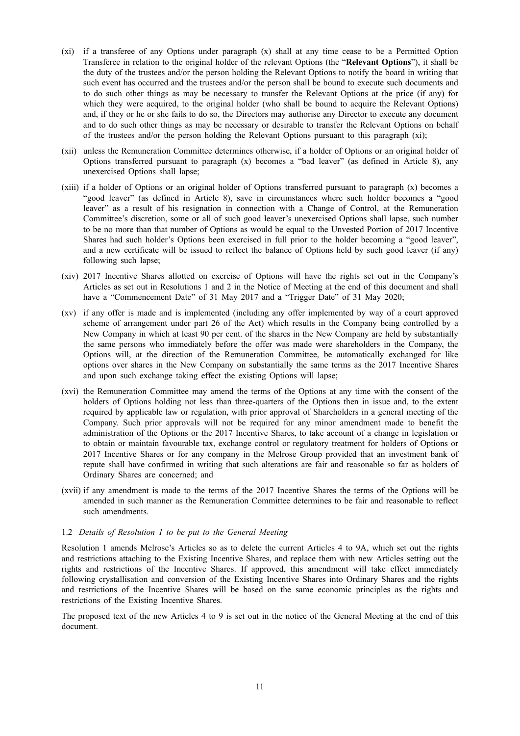- (xi) if a transferee of any Options under paragraph (x) shall at any time cease to be a Permitted Option Transferee in relation to the original holder of the relevant Options (the "**Relevant Options**"), it shall be the duty of the trustees and/or the person holding the Relevant Options to notify the board in writing that such event has occurred and the trustees and/or the person shall be bound to execute such documents and to do such other things as may be necessary to transfer the Relevant Options at the price (if any) for which they were acquired, to the original holder (who shall be bound to acquire the Relevant Options) and, if they or he or she fails to do so, the Directors may authorise any Director to execute any document and to do such other things as may be necessary or desirable to transfer the Relevant Options on behalf of the trustees and/or the person holding the Relevant Options pursuant to this paragraph (xi);
- (xii) unless the Remuneration Committee determines otherwise, if a holder of Options or an original holder of Options transferred pursuant to paragraph  $(x)$  becomes a "bad leaver" (as defined in Article 8), any unexercised Options shall lapse;
- (xiii) if a holder of Options or an original holder of Options transferred pursuant to paragraph (x) becomes a "good leaver" (as defined in Article 8), save in circumstances where such holder becomes a "good leaver" as a result of his resignation in connection with a Change of Control, at the Remuneration Committee's discretion, some or all of such good leaver's unexercised Options shall lapse, such number to be no more than that number of Options as would be equal to the Unvested Portion of 2017 Incentive Shares had such holder's Options been exercised in full prior to the holder becoming a "good leaver", and a new certificate will be issued to reflect the balance of Options held by such good leaver (if any) following such lapse;
- (xiv) 2017 Incentive Shares allotted on exercise of Options will have the rights set out in the Company's Articles as set out in Resolutions 1 and 2 in the Notice of Meeting at the end of this document and shall have a "Commencement Date" of 31 May 2017 and a "Trigger Date" of 31 May 2020;
- (xv) if any offer is made and is implemented (including any offer implemented by way of a court approved scheme of arrangement under part 26 of the Act) which results in the Company being controlled by a New Company in which at least 90 per cent. of the shares in the New Company are held by substantially the same persons who immediately before the offer was made were shareholders in the Company, the Options will, at the direction of the Remuneration Committee, be automatically exchanged for like options over shares in the New Company on substantially the same terms as the 2017 Incentive Shares and upon such exchange taking effect the existing Options will lapse;
- (xvi) the Remuneration Committee may amend the terms of the Options at any time with the consent of the holders of Options holding not less than three-quarters of the Options then in issue and, to the extent required by applicable law or regulation, with prior approval of Shareholders in a general meeting of the Company. Such prior approvals will not be required for any minor amendment made to benefit the administration of the Options or the 2017 Incentive Shares, to take account of a change in legislation or to obtain or maintain favourable tax, exchange control or regulatory treatment for holders of Options or 2017 Incentive Shares or for any company in the Melrose Group provided that an investment bank of repute shall have confirmed in writing that such alterations are fair and reasonable so far as holders of Ordinary Shares are concerned; and
- (xvii) if any amendment is made to the terms of the 2017 Incentive Shares the terms of the Options will be amended in such manner as the Remuneration Committee determines to be fair and reasonable to reflect such amendments.

#### 1.2 *Details of Resolution 1 to be put to the General Meeting*

Resolution 1 amends Melrose's Articles so as to delete the current Articles 4 to 9A, which set out the rights and restrictions attaching to the Existing Incentive Shares, and replace them with new Articles setting out the rights and restrictions of the Incentive Shares. If approved, this amendment will take effect immediately following crystallisation and conversion of the Existing Incentive Shares into Ordinary Shares and the rights and restrictions of the Incentive Shares will be based on the same economic principles as the rights and restrictions of the Existing Incentive Shares.

The proposed text of the new Articles 4 to 9 is set out in the notice of the General Meeting at the end of this document.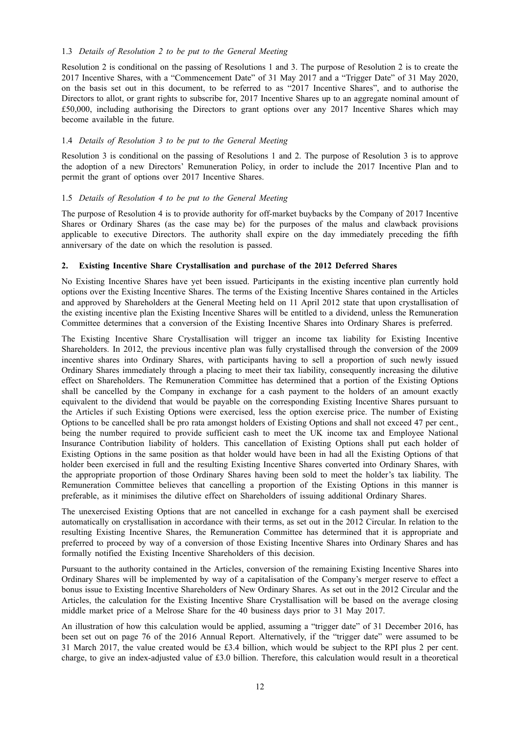#### 1.3 *Details of Resolution 2 to be put to the General Meeting*

Resolution 2 is conditional on the passing of Resolutions 1 and 3. The purpose of Resolution 2 is to create the 2017 Incentive Shares, with a "Commencement Date" of 31 May 2017 and a "Trigger Date" of 31 May 2020, on the basis set out in this document, to be referred to as "2017 Incentive Shares", and to authorise the Directors to allot, or grant rights to subscribe for, 2017 Incentive Shares up to an aggregate nominal amount of £50,000, including authorising the Directors to grant options over any 2017 Incentive Shares which may become available in the future.

#### 1.4 *Details of Resolution 3 to be put to the General Meeting*

Resolution 3 is conditional on the passing of Resolutions 1 and 2. The purpose of Resolution 3 is to approve the adoption of a new Directors' Remuneration Policy, in order to include the 2017 Incentive Plan and to permit the grant of options over 2017 Incentive Shares.

#### 1.5 *Details of Resolution 4 to be put to the General Meeting*

The purpose of Resolution 4 is to provide authority for off-market buybacks by the Company of 2017 Incentive Shares or Ordinary Shares (as the case may be) for the purposes of the malus and clawback provisions applicable to executive Directors. The authority shall expire on the day immediately preceding the fifth anniversary of the date on which the resolution is passed.

### **2. Existing Incentive Share Crystallisation and purchase of the 2012 Deferred Shares**

No Existing Incentive Shares have yet been issued. Participants in the existing incentive plan currently hold options over the Existing Incentive Shares. The terms of the Existing Incentive Shares contained in the Articles and approved by Shareholders at the General Meeting held on 11 April 2012 state that upon crystallisation of the existing incentive plan the Existing Incentive Shares will be entitled to a dividend, unless the Remuneration Committee determines that a conversion of the Existing Incentive Shares into Ordinary Shares is preferred.

The Existing Incentive Share Crystallisation will trigger an income tax liability for Existing Incentive Shareholders. In 2012, the previous incentive plan was fully crystallised through the conversion of the 2009 incentive shares into Ordinary Shares, with participants having to sell a proportion of such newly issued Ordinary Shares immediately through a placing to meet their tax liability, consequently increasing the dilutive effect on Shareholders. The Remuneration Committee has determined that a portion of the Existing Options shall be cancelled by the Company in exchange for a cash payment to the holders of an amount exactly equivalent to the dividend that would be payable on the corresponding Existing Incentive Shares pursuant to the Articles if such Existing Options were exercised, less the option exercise price. The number of Existing Options to be cancelled shall be pro rata amongst holders of Existing Options and shall not exceed 47 per cent., being the number required to provide sufficient cash to meet the UK income tax and Employee National Insurance Contribution liability of holders. This cancellation of Existing Options shall put each holder of Existing Options in the same position as that holder would have been in had all the Existing Options of that holder been exercised in full and the resulting Existing Incentive Shares converted into Ordinary Shares, with the appropriate proportion of those Ordinary Shares having been sold to meet the holder's tax liability. The Remuneration Committee believes that cancelling a proportion of the Existing Options in this manner is preferable, as it minimises the dilutive effect on Shareholders of issuing additional Ordinary Shares.

The unexercised Existing Options that are not cancelled in exchange for a cash payment shall be exercised automatically on crystallisation in accordance with their terms, as set out in the 2012 Circular. In relation to the resulting Existing Incentive Shares, the Remuneration Committee has determined that it is appropriate and preferred to proceed by way of a conversion of those Existing Incentive Shares into Ordinary Shares and has formally notified the Existing Incentive Shareholders of this decision.

Pursuant to the authority contained in the Articles, conversion of the remaining Existing Incentive Shares into Ordinary Shares will be implemented by way of a capitalisation of the Company's merger reserve to effect a bonus issue to Existing Incentive Shareholders of New Ordinary Shares. As set out in the 2012 Circular and the Articles, the calculation for the Existing Incentive Share Crystallisation will be based on the average closing middle market price of a Melrose Share for the 40 business days prior to 31 May 2017.

An illustration of how this calculation would be applied, assuming a "trigger date" of 31 December 2016, has been set out on page 76 of the 2016 Annual Report. Alternatively, if the "trigger date" were assumed to be 31 March 2017, the value created would be £3.4 billion, which would be subject to the RPI plus 2 per cent. charge, to give an index-adjusted value of £3.0 billion. Therefore, this calculation would result in a theoretical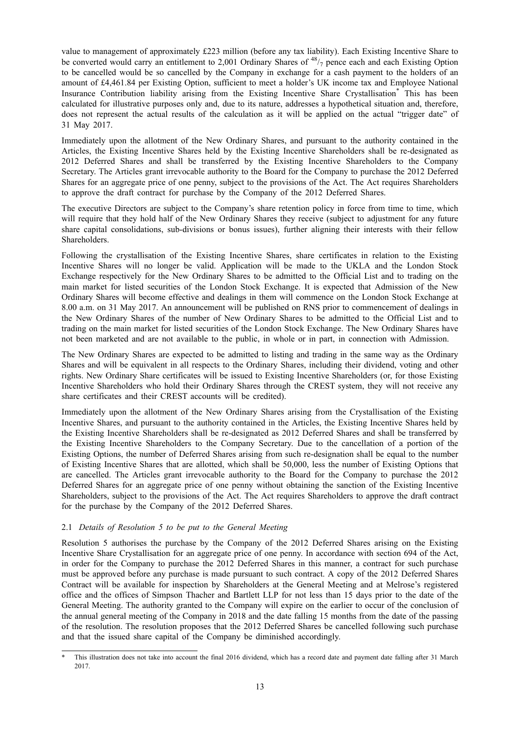value to management of approximately £223 million (before any tax liability). Each Existing Incentive Share to be converted would carry an entitlement to 2,001 Ordinary Shares of  $48/7$  pence each and each Existing Option to be cancelled would be so cancelled by the Company in exchange for a cash payment to the holders of an amount of £4,461.84 per Existing Option, sufficient to meet a holder's UK income tax and Employee National Insurance Contribution liability arising from the Existing Incentive Share Crystallisation\* This has been calculated for illustrative purposes only and, due to its nature, addresses a hypothetical situation and, therefore, does not represent the actual results of the calculation as it will be applied on the actual "trigger date" of 31 May 2017.

Immediately upon the allotment of the New Ordinary Shares, and pursuant to the authority contained in the Articles, the Existing Incentive Shares held by the Existing Incentive Shareholders shall be re-designated as 2012 Deferred Shares and shall be transferred by the Existing Incentive Shareholders to the Company Secretary. The Articles grant irrevocable authority to the Board for the Company to purchase the 2012 Deferred Shares for an aggregate price of one penny, subject to the provisions of the Act. The Act requires Shareholders to approve the draft contract for purchase by the Company of the 2012 Deferred Shares.

The executive Directors are subject to the Company's share retention policy in force from time to time, which will require that they hold half of the New Ordinary Shares they receive (subject to adjustment for any future share capital consolidations, sub-divisions or bonus issues), further aligning their interests with their fellow Shareholders.

Following the crystallisation of the Existing Incentive Shares, share certificates in relation to the Existing Incentive Shares will no longer be valid. Application will be made to the UKLA and the London Stock Exchange respectively for the New Ordinary Shares to be admitted to the Official List and to trading on the main market for listed securities of the London Stock Exchange. It is expected that Admission of the New Ordinary Shares will become effective and dealings in them will commence on the London Stock Exchange at 8.00 a.m. on 31 May 2017. An announcement will be published on RNS prior to commencement of dealings in the New Ordinary Shares of the number of New Ordinary Shares to be admitted to the Official List and to trading on the main market for listed securities of the London Stock Exchange. The New Ordinary Shares have not been marketed and are not available to the public, in whole or in part, in connection with Admission.

The New Ordinary Shares are expected to be admitted to listing and trading in the same way as the Ordinary Shares and will be equivalent in all respects to the Ordinary Shares, including their dividend, voting and other rights. New Ordinary Share certificates will be issued to Existing Incentive Shareholders (or, for those Existing Incentive Shareholders who hold their Ordinary Shares through the CREST system, they will not receive any share certificates and their CREST accounts will be credited).

Immediately upon the allotment of the New Ordinary Shares arising from the Crystallisation of the Existing Incentive Shares, and pursuant to the authority contained in the Articles, the Existing Incentive Shares held by the Existing Incentive Shareholders shall be re-designated as 2012 Deferred Shares and shall be transferred by the Existing Incentive Shareholders to the Company Secretary. Due to the cancellation of a portion of the Existing Options, the number of Deferred Shares arising from such re-designation shall be equal to the number of Existing Incentive Shares that are allotted, which shall be 50,000, less the number of Existing Options that are cancelled. The Articles grant irrevocable authority to the Board for the Company to purchase the 2012 Deferred Shares for an aggregate price of one penny without obtaining the sanction of the Existing Incentive Shareholders, subject to the provisions of the Act. The Act requires Shareholders to approve the draft contract for the purchase by the Company of the 2012 Deferred Shares.

### 2.1 *Details of Resolution 5 to be put to the General Meeting*

Resolution 5 authorises the purchase by the Company of the 2012 Deferred Shares arising on the Existing Incentive Share Crystallisation for an aggregate price of one penny. In accordance with section 694 of the Act, in order for the Company to purchase the 2012 Deferred Shares in this manner, a contract for such purchase must be approved before any purchase is made pursuant to such contract. A copy of the 2012 Deferred Shares Contract will be available for inspection by Shareholders at the General Meeting and at Melrose's registered office and the offices of Simpson Thacher and Bartlett LLP for not less than 15 days prior to the date of the General Meeting. The authority granted to the Company will expire on the earlier to occur of the conclusion of the annual general meeting of the Company in 2018 and the date falling 15 months from the date of the passing of the resolution. The resolution proposes that the 2012 Deferred Shares be cancelled following such purchase and that the issued share capital of the Company be diminished accordingly.

This illustration does not take into account the final 2016 dividend, which has a record date and payment date falling after 31 March 2017.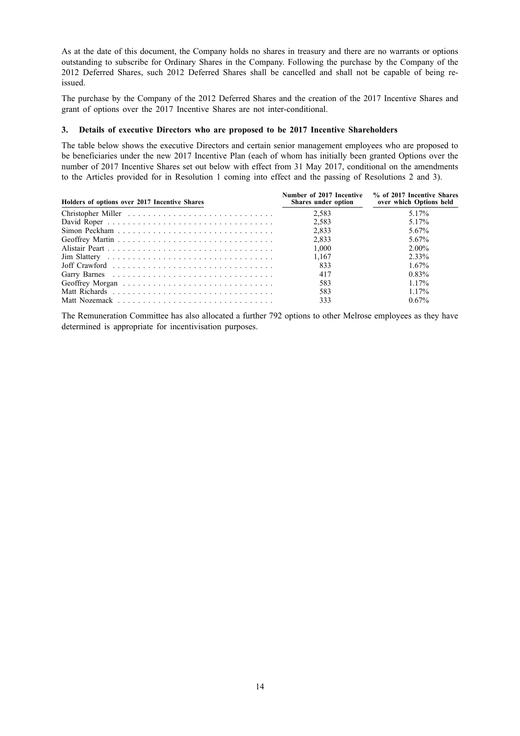As at the date of this document, the Company holds no shares in treasury and there are no warrants or options outstanding to subscribe for Ordinary Shares in the Company. Following the purchase by the Company of the 2012 Deferred Shares, such 2012 Deferred Shares shall be cancelled and shall not be capable of being reissued.

The purchase by the Company of the 2012 Deferred Shares and the creation of the 2017 Incentive Shares and grant of options over the 2017 Incentive Shares are not inter-conditional.

#### **3. Details of executive Directors who are proposed to be 2017 Incentive Shareholders**

The table below shows the executive Directors and certain senior management employees who are proposed to be beneficiaries under the new 2017 Incentive Plan (each of whom has initially been granted Options over the number of 2017 Incentive Shares set out below with effect from 31 May 2017, conditional on the amendments to the Articles provided for in Resolution 1 coming into effect and the passing of Resolutions 2 and 3).

| Holders of options over 2017 Incentive Shares                                         | Number of 2017 Incentive<br>Shares under option | % of 2017 Incentive Shares<br>over which Options held |
|---------------------------------------------------------------------------------------|-------------------------------------------------|-------------------------------------------------------|
|                                                                                       | 2,583                                           | 5 1 7%                                                |
|                                                                                       | 2,583                                           | 5.17%                                                 |
|                                                                                       | 2,833                                           | 5.67%                                                 |
|                                                                                       | 2,833                                           | 5.67%                                                 |
|                                                                                       | 1,000                                           | $2.00\%$                                              |
|                                                                                       | 1.167                                           | 2.33%                                                 |
| Joff Crawford $\ldots \ldots \ldots \ldots \ldots \ldots \ldots \ldots \ldots \ldots$ | 833                                             | $1.67\%$                                              |
|                                                                                       | 417                                             | 0.83%                                                 |
|                                                                                       | 583                                             | 117%                                                  |
|                                                                                       | 583                                             | 117%                                                  |
|                                                                                       | 333                                             | $0.67\%$                                              |

The Remuneration Committee has also allocated a further 792 options to other Melrose employees as they have determined is appropriate for incentivisation purposes.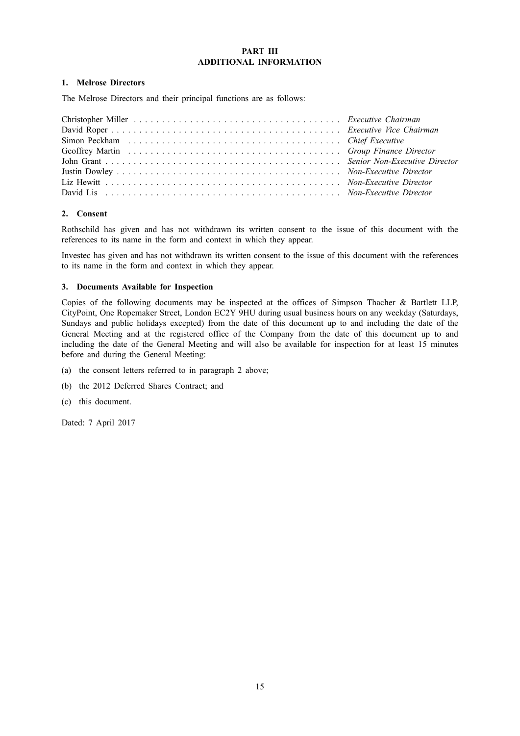#### **PART III ADDITIONAL INFORMATION**

### **1. Melrose Directors**

The Melrose Directors and their principal functions are as follows:

| Simon Peckham (a) contain the contract of the contract of the contract of the extent of the contract of the contract of the contract of the contract of the contract of the contract of the contract of the contract of the co |  |
|--------------------------------------------------------------------------------------------------------------------------------------------------------------------------------------------------------------------------------|--|
|                                                                                                                                                                                                                                |  |
|                                                                                                                                                                                                                                |  |
|                                                                                                                                                                                                                                |  |
|                                                                                                                                                                                                                                |  |
|                                                                                                                                                                                                                                |  |

# **2. Consent**

Rothschild has given and has not withdrawn its written consent to the issue of this document with the references to its name in the form and context in which they appear.

Investec has given and has not withdrawn its written consent to the issue of this document with the references to its name in the form and context in which they appear.

# **3. Documents Available for Inspection**

Copies of the following documents may be inspected at the offices of Simpson Thacher & Bartlett LLP, CityPoint, One Ropemaker Street, London EC2Y 9HU during usual business hours on any weekday (Saturdays, Sundays and public holidays excepted) from the date of this document up to and including the date of the General Meeting and at the registered office of the Company from the date of this document up to and including the date of the General Meeting and will also be available for inspection for at least 15 minutes before and during the General Meeting:

- (a) the consent letters referred to in paragraph 2 above;
- (b) the 2012 Deferred Shares Contract; and
- (c) this document.

Dated: 7 April 2017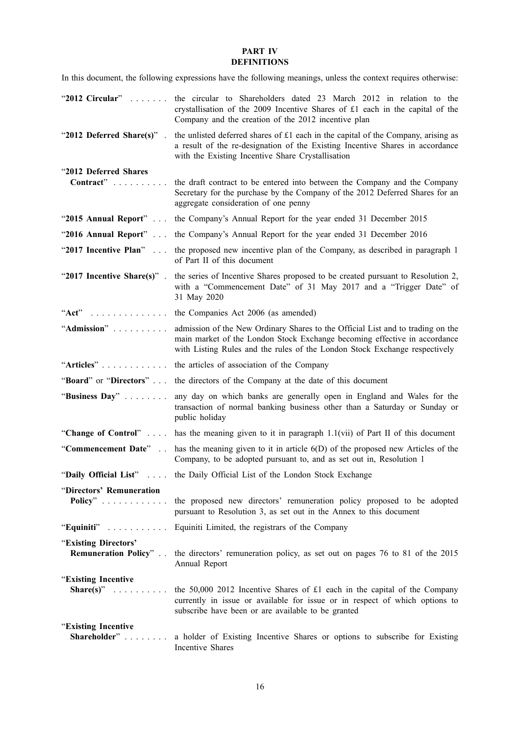# **PART IV DEFINITIONS**

In this document, the following expressions have the following meanings, unless the context requires otherwise:

| "2012 Circular"                                      | the circular to Shareholders dated 23 March 2012 in relation to the<br>crystallisation of the 2009 Incentive Shares of £1 each in the capital of the<br>Company and the creation of the 2012 incentive plan                                |
|------------------------------------------------------|--------------------------------------------------------------------------------------------------------------------------------------------------------------------------------------------------------------------------------------------|
| "2012 Deferred Share(s)".                            | the unlisted deferred shares of £1 each in the capital of the Company, arising as<br>a result of the re-designation of the Existing Incentive Shares in accordance<br>with the Existing Incentive Share Crystallisation                    |
| "2012 Deferred Shares<br>Contract"                   | the draft contract to be entered into between the Company and the Company<br>Secretary for the purchase by the Company of the 2012 Deferred Shares for an<br>aggregate consideration of one penny                                          |
|                                                      | "2015 Annual Report" the Company's Annual Report for the year ended 31 December 2015                                                                                                                                                       |
|                                                      | "2016 Annual Report" the Company's Annual Report for the year ended 31 December 2016                                                                                                                                                       |
| "2017 Incentive Plan"                                | the proposed new incentive plan of the Company, as described in paragraph 1<br>of Part II of this document                                                                                                                                 |
|                                                      | "2017 Incentive Share(s)". the series of Incentive Shares proposed to be created pursuant to Resolution 2,<br>with a "Commencement Date" of 31 May 2017 and a "Trigger Date" of<br>31 May 2020                                             |
| $"Act"$ ,                                            | the Companies Act 2006 (as amended)                                                                                                                                                                                                        |
| "Admission"                                          | admission of the New Ordinary Shares to the Official List and to trading on the<br>main market of the London Stock Exchange becoming effective in accordance<br>with Listing Rules and the rules of the London Stock Exchange respectively |
| "Articles"                                           | the articles of association of the Company                                                                                                                                                                                                 |
| "Board" or "Directors"                               | the directors of the Company at the date of this document                                                                                                                                                                                  |
| "Business Day"                                       | any day on which banks are generally open in England and Wales for the<br>transaction of normal banking business other than a Saturday or Sunday or<br>public holiday                                                                      |
|                                                      | "Change of Control"  has the meaning given to it in paragraph 1.1(vii) of Part II of this document                                                                                                                                         |
|                                                      | "Commencement Date" . has the meaning given to it in article $6(D)$ of the proposed new Articles of the<br>Company, to be adopted pursuant to, and as set out in, Resolution 1                                                             |
|                                                      | "Daily Official List"  the Daily Official List of the London Stock Exchange                                                                                                                                                                |
| "Directors' Remuneration<br>Policy"                  | the proposed new directors' remuneration policy proposed to be adopted<br>pursuant to Resolution 3, as set out in the Annex to this document                                                                                               |
| "Equiniti"                                           | Equiniti Limited, the registrars of the Company                                                                                                                                                                                            |
| "Existing Directors"<br><b>Remuneration Policy</b> " | the directors' remuneration policy, as set out on pages 76 to 81 of the 2015<br>Annual Report                                                                                                                                              |
| "Existing Incentive                                  |                                                                                                                                                                                                                                            |
| Share(s)" $\ldots \ldots \ldots$                     | the 50,000 2012 Incentive Shares of £1 each in the capital of the Company<br>currently in issue or available for issue or in respect of which options to<br>subscribe have been or are available to be granted                             |
| "Existing Incentive                                  |                                                                                                                                                                                                                                            |
| Shareholder"                                         | a holder of Existing Incentive Shares or options to subscribe for Existing<br>Incentive Shares                                                                                                                                             |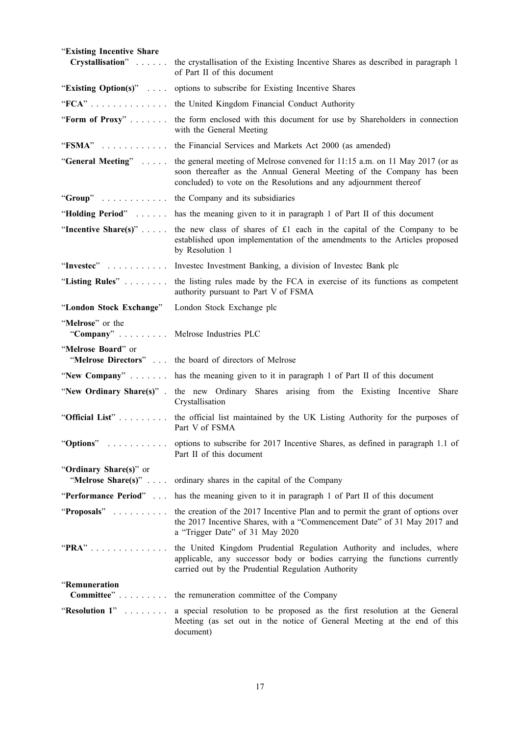| "Existing Incentive Share<br>Crystallisation"         | the crystallisation of the Existing Incentive Shares as described in paragraph 1                                                                                                                                           |
|-------------------------------------------------------|----------------------------------------------------------------------------------------------------------------------------------------------------------------------------------------------------------------------------|
|                                                       | of Part II of this document                                                                                                                                                                                                |
| "Existing Option(s)" $\ldots$                         | options to subscribe for Existing Incentive Shares                                                                                                                                                                         |
| $"FCA"$                                               | the United Kingdom Financial Conduct Authority                                                                                                                                                                             |
| "Form of Proxy"                                       | the form enclosed with this document for use by Shareholders in connection<br>with the General Meeting                                                                                                                     |
| " $FSMA$ "                                            | the Financial Services and Markets Act 2000 (as amended)                                                                                                                                                                   |
| "General Meeting"                                     | the general meeting of Melrose convened for 11:15 a.m. on 11 May 2017 (or as<br>soon thereafter as the Annual General Meeting of the Company has been<br>concluded) to vote on the Resolutions and any adjournment thereof |
| " $Group$ "                                           | the Company and its subsidiaries                                                                                                                                                                                           |
| "Holding Period"                                      | has the meaning given to it in paragraph 1 of Part II of this document                                                                                                                                                     |
| "Incentive Share(s)" $\ldots$ .                       | the new class of shares of £1 each in the capital of the Company to be<br>established upon implementation of the amendments to the Articles proposed<br>by Resolution 1                                                    |
| "Investec"                                            | Invested Investment Banking, a division of Invested Bank plc                                                                                                                                                               |
| "Listing Rules"                                       | the listing rules made by the FCA in exercise of its functions as competent<br>authority pursuant to Part V of FSMA                                                                                                        |
| "London Stock Exchange"                               | London Stock Exchange plc                                                                                                                                                                                                  |
| "Melrose" or the<br>"Company" Melrose Industries PLC  |                                                                                                                                                                                                                            |
| "Melrose Board" or                                    |                                                                                                                                                                                                                            |
|                                                       | "Melrose Directors"  the board of directors of Melrose                                                                                                                                                                     |
|                                                       | "New Company"  has the meaning given to it in paragraph 1 of Part II of this document                                                                                                                                      |
|                                                       | "New Ordinary Share(s)". the new Ordinary Shares arising from the Existing Incentive Share<br>Crystallisation                                                                                                              |
| "Official List"                                       | the official list maintained by the UK Listing Authority for the purposes of<br>Part V of FSMA                                                                                                                             |
| "Options"                                             | options to subscribe for 2017 Incentive Shares, as defined in paragraph 1.1 of<br>Part II of this document                                                                                                                 |
| "Ordinary Share(s)" or<br>"Melrose Share(s)" $\ldots$ | ordinary shares in the capital of the Company                                                                                                                                                                              |
| "Performance Period"                                  | has the meaning given to it in paragraph 1 of Part II of this document                                                                                                                                                     |
| "Proposals"                                           | the creation of the 2017 Incentive Plan and to permit the grant of options over<br>the 2017 Incentive Shares, with a "Commencement Date" of 31 May 2017 and<br>a "Trigger Date" of 31 May 2020                             |
| " $PRA$ "                                             | the United Kingdom Prudential Regulation Authority and includes, where<br>applicable, any successor body or bodies carrying the functions currently<br>carried out by the Prudential Regulation Authority                  |
| "Remuneration<br>Committee"                           | the remuneration committee of the Company                                                                                                                                                                                  |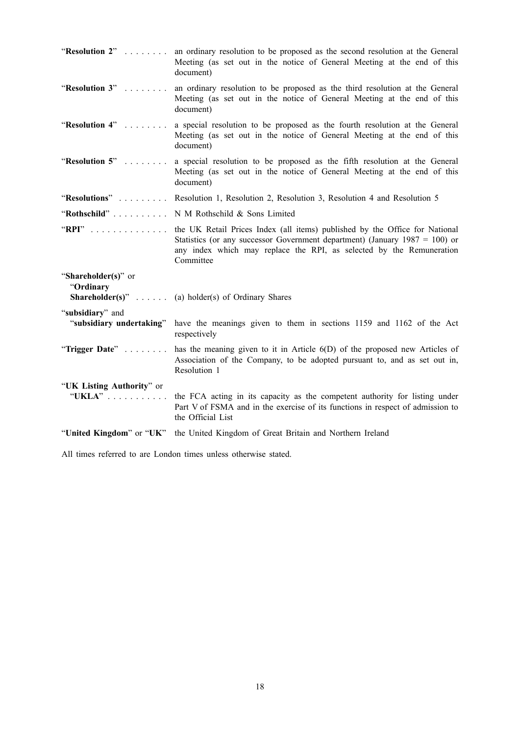| "Resolution 2"                               | an ordinary resolution to be proposed as the second resolution at the General<br>Meeting (as set out in the notice of General Meeting at the end of this<br>document)                                                                              |
|----------------------------------------------|----------------------------------------------------------------------------------------------------------------------------------------------------------------------------------------------------------------------------------------------------|
| "Resolution 3"                               | an ordinary resolution to be proposed as the third resolution at the General<br>Meeting (as set out in the notice of General Meeting at the end of this<br>document)                                                                               |
| "Resolution 4"                               | a special resolution to be proposed as the fourth resolution at the General<br>Meeting (as set out in the notice of General Meeting at the end of this<br>document)                                                                                |
| "Resolution 5"                               | a special resolution to be proposed as the fifth resolution at the General<br>Meeting (as set out in the notice of General Meeting at the end of this<br>document)                                                                                 |
| "Resolutions"                                | Resolution 1, Resolution 2, Resolution 3, Resolution 4 and Resolution 5                                                                                                                                                                            |
| "Rothschild"                                 | N M Rothschild & Sons Limited                                                                                                                                                                                                                      |
| " $RPI$ "                                    | the UK Retail Prices Index (all items) published by the Office for National<br>Statistics (or any successor Government department) (January $1987 = 100$ ) or<br>any index which may replace the RPI, as selected by the Remuneration<br>Committee |
| "Shareholder(s)" or<br>"Ordinary             | <b>Shareholder(s)</b> " (a) holder(s) of Ordinary Shares                                                                                                                                                                                           |
| "subsidiary" and<br>"subsidiary undertaking" | have the meanings given to them in sections 1159 and 1162 of the Act                                                                                                                                                                               |
|                                              | respectively                                                                                                                                                                                                                                       |
| "Trigger Date"                               | has the meaning given to it in Article 6(D) of the proposed new Articles of<br>Association of the Company, to be adopted pursuant to, and as set out in,<br>Resolution 1                                                                           |
| "UK Listing Authority" or<br>"UKLA"          | the FCA acting in its capacity as the competent authority for listing under                                                                                                                                                                        |
|                                              | Part V of FSMA and in the exercise of its functions in respect of admission to<br>the Official List                                                                                                                                                |

All times referred to are London times unless otherwise stated.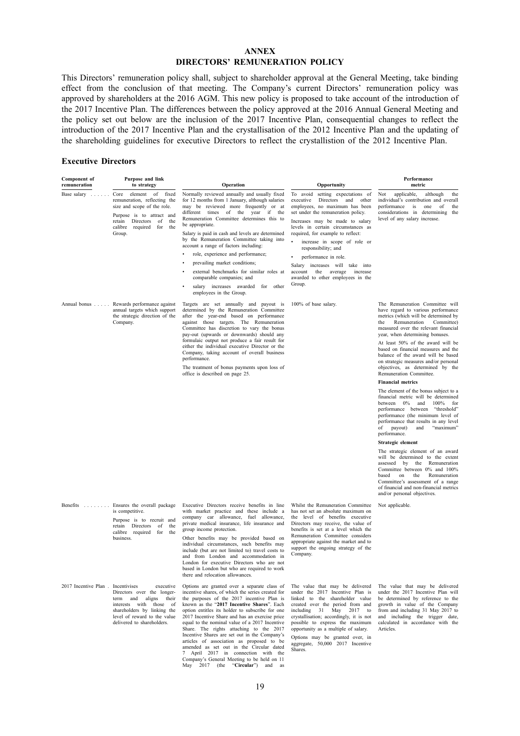#### **ANNEX DIRECTORS' REMUNERATION POLICY**

This Directors' remuneration policy shall, subject to shareholder approval at the General Meeting, take binding effect from the conclusion of that meeting. The Company's current Directors' remuneration policy was approved by shareholders at the 2016 AGM. This new policy is proposed to take account of the introduction of the 2017 Incentive Plan. The differences between the policy approved at the 2016 Annual General Meeting and the policy set out below are the inclusion of the 2017 Incentive Plan, consequential changes to reflect the introduction of the 2017 Incentive Plan and the crystallisation of the 2012 Incentive Plan and the updating of the shareholding guidelines for executive Directors to reflect the crystallistion of the 2012 Incentive Plan.

#### **Executive Directors**

| <b>Component of</b><br>remuneration                                                    | Purpose and link<br>to strategy                                                                                                                                                                   | Operation                                                                                                                                                                                                                                                                                                                                                                                                                                                                                                                                                                                                                                                          | Opportunity                                                                                                                                                                                                                                                                                                                                                                       | Performance<br>metric                                                                                                                                                                                                                                                                                                                           |
|----------------------------------------------------------------------------------------|---------------------------------------------------------------------------------------------------------------------------------------------------------------------------------------------------|--------------------------------------------------------------------------------------------------------------------------------------------------------------------------------------------------------------------------------------------------------------------------------------------------------------------------------------------------------------------------------------------------------------------------------------------------------------------------------------------------------------------------------------------------------------------------------------------------------------------------------------------------------------------|-----------------------------------------------------------------------------------------------------------------------------------------------------------------------------------------------------------------------------------------------------------------------------------------------------------------------------------------------------------------------------------|-------------------------------------------------------------------------------------------------------------------------------------------------------------------------------------------------------------------------------------------------------------------------------------------------------------------------------------------------|
| Base salary<br>$\mathbb{Z}^2$ . $\mathbb{Z}^2$ , $\mathbb{Z}^2$<br>$\sim$ .            | element of<br>Core<br>fixed<br>remuneration, reflecting the<br>size and scope of the role.                                                                                                        | Normally reviewed annually and usually fixed<br>for 12 months from 1 January, although salaries<br>may be reviewed more frequently or at                                                                                                                                                                                                                                                                                                                                                                                                                                                                                                                           | To avoid setting expectations of<br>executive<br>Directors and other<br>employees, no maximum has been                                                                                                                                                                                                                                                                            | applicable,<br>Not<br>although<br>the<br>individual's contribution and overall<br>one<br>performance<br>is<br>of<br>the                                                                                                                                                                                                                         |
| Purpose is to attract and<br>retain Directors of<br>the<br>calibre required for<br>the | different times of the year if the<br>Remuneration Committee determines this to<br>be appropriate.                                                                                                | set under the remuneration policy.<br>Increases may be made to salary<br>levels in certain circumstances as                                                                                                                                                                                                                                                                                                                                                                                                                                                                                                                                                        | considerations in determining the<br>level of any salary increase.                                                                                                                                                                                                                                                                                                                |                                                                                                                                                                                                                                                                                                                                                 |
|                                                                                        | Group.                                                                                                                                                                                            | Salary is paid in cash and levels are determined<br>by the Remuneration Committee taking into<br>account a range of factors including:                                                                                                                                                                                                                                                                                                                                                                                                                                                                                                                             | required, for example to reflect:<br>increase in scope of role or<br>responsibility; and                                                                                                                                                                                                                                                                                          |                                                                                                                                                                                                                                                                                                                                                 |
|                                                                                        |                                                                                                                                                                                                   | role, experience and performance;                                                                                                                                                                                                                                                                                                                                                                                                                                                                                                                                                                                                                                  | performance in role.                                                                                                                                                                                                                                                                                                                                                              |                                                                                                                                                                                                                                                                                                                                                 |
|                                                                                        |                                                                                                                                                                                                   | prevailing market conditions;<br>external benchmarks for similar roles at<br>comparable companies; and                                                                                                                                                                                                                                                                                                                                                                                                                                                                                                                                                             | Salary increases will take into<br>the average increase<br>account                                                                                                                                                                                                                                                                                                                |                                                                                                                                                                                                                                                                                                                                                 |
|                                                                                        |                                                                                                                                                                                                   | salary increases awarded for other<br>employees in the Group.                                                                                                                                                                                                                                                                                                                                                                                                                                                                                                                                                                                                      | awarded to other employees in the<br>Group.                                                                                                                                                                                                                                                                                                                                       |                                                                                                                                                                                                                                                                                                                                                 |
|                                                                                        | Annual bonus Rewards performance against<br>annual targets which support<br>the strategic direction of the<br>Company.                                                                            | Targets are set annually and payout is<br>determined by the Remuneration Committee<br>after the year-end based on performance<br>against those targets. The Remuneration<br>Committee has discretion to vary the bonus<br>pay-out (upwards or downwards) should any<br>formulaic output not produce a fair result for<br>either the individual executive Director or the<br>Company, taking account of overall business<br>performance.                                                                                                                                                                                                                            | 100% of base salary.                                                                                                                                                                                                                                                                                                                                                              | The Remuneration Committee will<br>have regard to various performance<br>metrics (which will be determined by<br>Remuneration<br>Committee)<br>the<br>measured over the relevant financial<br>year, when determining bonuses.<br>At least 50% of the award will be<br>based on financial measures and the<br>balance of the award will be based |
|                                                                                        |                                                                                                                                                                                                   | The treatment of bonus payments upon loss of<br>office is described on page 25.                                                                                                                                                                                                                                                                                                                                                                                                                                                                                                                                                                                    |                                                                                                                                                                                                                                                                                                                                                                                   | on strategic measures and/or personal<br>objectives, as determined by the<br>Remuneration Committee.                                                                                                                                                                                                                                            |
|                                                                                        |                                                                                                                                                                                                   |                                                                                                                                                                                                                                                                                                                                                                                                                                                                                                                                                                                                                                                                    |                                                                                                                                                                                                                                                                                                                                                                                   | <b>Financial metrics</b>                                                                                                                                                                                                                                                                                                                        |
|                                                                                        |                                                                                                                                                                                                   |                                                                                                                                                                                                                                                                                                                                                                                                                                                                                                                                                                                                                                                                    |                                                                                                                                                                                                                                                                                                                                                                                   | The element of the bonus subject to a<br>financial metric will be determined<br>between 0% and 100% for<br>performance between "threshold"<br>performance (the minimum level of<br>performance that results in any level<br>payout)<br>and<br>"maximum"<br>of<br>performance.                                                                   |
|                                                                                        |                                                                                                                                                                                                   |                                                                                                                                                                                                                                                                                                                                                                                                                                                                                                                                                                                                                                                                    |                                                                                                                                                                                                                                                                                                                                                                                   | Strategic element                                                                                                                                                                                                                                                                                                                               |
|                                                                                        |                                                                                                                                                                                                   |                                                                                                                                                                                                                                                                                                                                                                                                                                                                                                                                                                                                                                                                    |                                                                                                                                                                                                                                                                                                                                                                                   | The strategic element of an award<br>will be determined to the extent<br>assessed by the<br>Remuneration<br>Committee between 0% and 100%<br>based<br>on<br>the<br>Remuneration<br>Committee's assessment of a range<br>of financial and non-financial metrics<br>and/or personal objectives.                                                   |
|                                                                                        | Benefits Ensures the overall package<br>is competitive.<br>Purpose is to recruit and<br>retain Directors of<br>the<br>calibre required for<br>the<br>business.                                    | Executive Directors receive benefits in line<br>with market practice and these include a<br>company car allowance, fuel allowance,<br>private medical insurance, life insurance and<br>group income protection.<br>Other benefits may be provided based on<br>individual circumstances, such benefits may<br>include (but are not limited to) travel costs to<br>and from London and accommodation in<br>London for executive Directors who are not<br>based in London but who are required to work<br>there and relocation allowances.                                                                                                                            | Whilst the Remuneration Committee<br>has not set an absolute maximum on<br>the level of benefits executive<br>Directors may receive, the value of<br>benefits is set at a level which the<br>Remuneration Committee considers<br>appropriate against the market and to<br>support the ongoing strategy of the<br>Company.                                                         | Not applicable.                                                                                                                                                                                                                                                                                                                                 |
| 2017 Incentive Plan. Incentivises                                                      | executive<br>Directors over the longer-<br>and<br>aligns<br>term<br>their<br>interests with those of<br>shareholders by linking the<br>level of reward to the value<br>delivered to shareholders. | Options are granted over a separate class of<br>incentive shares, of which the series created for<br>the purposes of the 2017 incentive Plan is<br>known as the "2017 Incentive Shares". Each<br>option entitles its holder to subscribe for one<br>2017 Incentive Share and has an exercise price<br>equal to the nominal value of a 2017 Incentive<br>Share. The rights attaching to the 2017<br>Incentive Shares are set out in the Company's<br>articles of association as proposed to be<br>amended as set out in the Circular dated<br>7 April 2017 in connection with the<br>Company's General Meeting to be held on 11<br>May 2017 (the "Circular") and as | The value that may be delivered<br>under the 2017 Incentive Plan is<br>linked to the shareholder value<br>created over the period from and<br>including 31 May 2017<br>to<br>crystallisation; accordingly, it is not<br>possible to express the maximum<br>opportunity as a multiple of salary.<br>Options may be granted over, in<br>aggregate, 50,000 2017 Incentive<br>Shares. | The value that may be delivered<br>under the 2017 Incentive Plan will<br>be determined by reference to the<br>growth in value of the Company<br>from and including 31 May 2017 to<br>and including the trigger date,<br>calculated in accordance with the<br>Articles.                                                                          |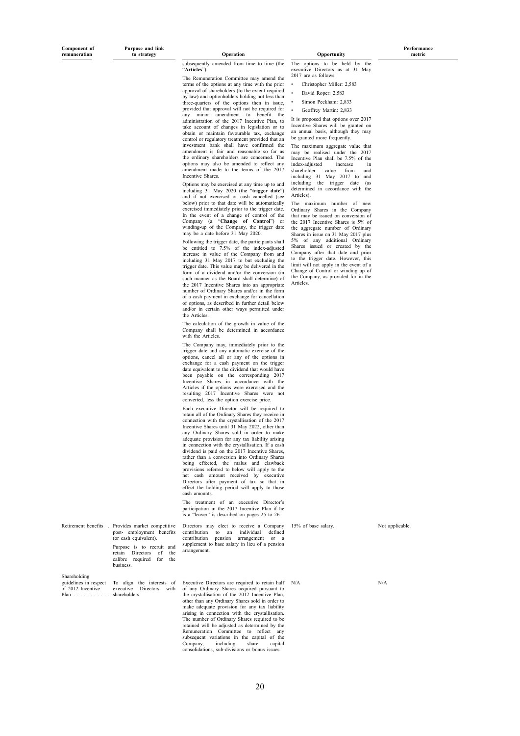**Purpose and link**

subsequently amended from time to time (the "**Articles**").

The Remuneration Committee may amend the terms of the options at any time with the prior approval of shareholders (to the extent required by law) and optionholders holding not less than three-quarters of the options then in issue, provided that approval will not be required for any minor amendment to benefit the administration of the 2017 Incentive Plan, to take account of changes in legislation or to obtain or maintain favourable tax, exchange control or regulatory treatment provided that an investment bank shall have confirmed the amendment is fair and reasonable so far as the ordinary shareholders are concerned. The options may also be amended to reflect any amendment made to the terms of the 2017 Incentive Shares.

Options may be exercised at any time up to and including 31 May 2020 (the "**trigger date**") and if not exercised or cash cancelled (see below) prior to that date will be automatically exercised immediately prior to the trigger date. In the event of a change of control of the Company (a "**Change of Control**") or winding-up of the Company, the trigger date may be a date before 31 May 2020.

Following the trigger date, the participants shall be entitled to 7.5% of the index-adjusted increase in value of the Company from and including 31 May 2017 to but excluding the trigger date. This value may be delivered in the form of a dividend and/or the conversion (in such manner as the Board shall determine) of the 2017 Incentive Shares into an appropriate number of Ordinary Shares and/or in the form of a cash payment in exchange for cancellation of options, as described in further detail below and/or in certain other ways permitted under the Articles.

The calculation of the growth in value of the Company shall be determined in accordance with the Articles.

The Company may, immediately prior to the trigger date and any automatic exercise of the options, cancel all or any of the options in exchange for a cash payment on the trigger date equivalent to the dividend that would have been payable on the corresponding 2017 Incentive Shares in accordance with the Articles if the options were exercised and the resulting 2017 Incentive Shares were not converted, less the option exercise price.

Each executive Director will be required to retain all of the Ordinary Shares they receive in connection with the crystallisation of the 2017 Incentive Shares until 31 May 2022, other than any Ordinary Shares sold in order to make adequate provision for any tax liability arising in connection with the crystallisation. If a cash dividend is paid on the 2017 Incentive Shares, rather than a conversion into Ordinary Shares being effected, the malus and clawback provisions referred to below will apply to the net cash amount received by executive Directors after payment of tax so that in effect the holding period will apply to those cash amounts.

The treatment of an executive Director's participation in the 2017 Incentive Plan if he is a "leaver" is described on pages 25 to 26.

|  | Retirement benefits Provides market competitive<br>(or cash equivalent).<br>Purpose is to recruit and<br>retain Directors of the<br>calibre required for the<br>business. | Directors may elect to receive a Company<br>post- employment benefits contribution to an individual defined<br>contribution pension arrangement or a<br>supplement to base salary in lieu of a pension<br>arrangement. |
|--|---------------------------------------------------------------------------------------------------------------------------------------------------------------------------|------------------------------------------------------------------------------------------------------------------------------------------------------------------------------------------------------------------------|
|--|---------------------------------------------------------------------------------------------------------------------------------------------------------------------------|------------------------------------------------------------------------------------------------------------------------------------------------------------------------------------------------------------------------|

Shareholding

 $Plan$ shareholders.

guidelines in respect To align the interests of Executive Directors are required to retain half N/A N/A N/A N/A<br>
Of 2012 Incentive executive Directors with of any Ordinary Shares acquired pursuant to Executive Bricciols are required to retain hard<br>of any Ordinary Shares acquired pursuant to<br>the crystallisation of the 2012 Incentive Plan, other than any Ordinary Shares sold in order to make adequate provision for any tax liability arising in connection with the crystallisation. The number of Ordinary Shares required to be retained will be adjusted as determined by the Remuneration Committee to reflect any subsequent variations in the capital of the<br>Company including share capital Company, including share capital consolidations, sub-divisions or bonus issues.

**the Operation Opportunity** 

The options to be held by executive Directors as at 31 May 2017 are as follows:

• Christopher Miller: 2,583

• David Roper: 2,583

• Simon Peckham: 2,833

• Geoffrey Martin: 2,833

It is proposed that options over 2017 Incentive Shares will be granted on an annual basis, although they may be granted more frequently.

The maximum aggregate value that may be realised under the 2017 Incentive Plan shall be 7.5% of the index-adjusted increase in shareholder value from and including 31 May 2017 to and including the trigger date (as determined in accordance with the Articles).

The maximum number of new Ordinary Shares in the Company that may be issued on conversion of the 2017 Incentive Shares is 5% of the aggregate number of Ordinary Shares in issue on 31 May 2017 plus<br>5% of any additional Ordinary  $5\%$  of any additional Shares issued or created by the Company after that date and prior to the trigger date. However, this limit will not apply in the event of a Change of Control or winding up of the Company, as provided for in the Articles.

15% of base salary. Not applicable.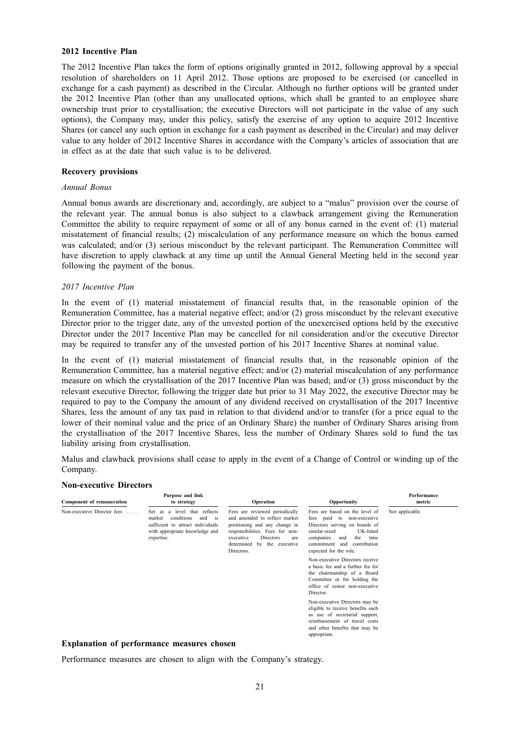#### **2012 Incentive Plan**

The 2012 Incentive Plan takes the form of options originally granted in 2012, following approval by a special resolution of shareholders on 11 April 2012. Those options are proposed to be exercised (or cancelled in exchange for a cash payment) as described in the Circular. Although no further options will be granted under the 2012 Incentive Plan (other than any unallocated options, which shall be granted to an employee share ownership trust prior to crystallisation; the executive Directors will not participate in the value of any such options), the Company may, under this policy, satisfy the exercise of any option to acquire 2012 Incentive Shares (or cancel any such option in exchange for a cash payment as described in the Circular) and may deliver value to any holder of 2012 Incentive Shares in accordance with the Company's articles of association that are in effect as at the date that such value is to be delivered.

#### **Recovery provisions**

#### *Annual Bonus*

Annual bonus awards are discretionary and, accordingly, are subject to a "malus" provision over the course of the relevant year. The annual bonus is also subject to a clawback arrangement giving the Remuneration Committee the ability to require repayment of some or all of any bonus earned in the event of: (1) material misstatement of financial results; (2) miscalculation of any performance measure on which the bonus earned was calculated; and/or (3) serious misconduct by the relevant participant. The Remuneration Committee will have discretion to apply clawback at any time up until the Annual General Meeting held in the second year following the payment of the bonus.

#### *2017 Incentive Plan*

In the event of (1) material misstatement of financial results that, in the reasonable opinion of the Remuneration Committee, has a material negative effect; and/or (2) gross misconduct by the relevant executive Director prior to the trigger date, any of the unvested portion of the unexercised options held by the executive Director under the 2017 Incentive Plan may be cancelled for nil consideration and/or the executive Director may be required to transfer any of the unvested portion of his 2017 Incentive Shares at nominal value.

In the event of (1) material misstatement of financial results that, in the reasonable opinion of the Remuneration Committee, has a material negative effect; and/or (2) material miscalculation of any performance measure on which the crystallisation of the 2017 Incentive Plan was based; and/or (3) gross misconduct by the relevant executive Director, following the trigger date but prior to 31 May 2022, the executive Director may be required to pay to the Company the amount of any dividend received on crystallisation of the 2017 Incentive Shares, less the amount of any tax paid in relation to that dividend and/or to transfer (for a price equal to the lower of their nominal value and the price of an Ordinary Share) the number of Ordinary Shares arising from the crystallisation of the 2017 Incentive Shares, less the number of Ordinary Shares sold to fund the tax liability arising from crystallisation.

Malus and clawback provisions shall cease to apply in the event of a Change of Control or winding up of the Company.

#### **Non-executive Directors**

| Component of remuneration                           | Purpose and link<br>to strategy                                                                                                                           | <b>Operation</b>                                                                                                                                                                                                     | Opportunity                                                                                                                                                                                                                       | Performance<br>metric |
|-----------------------------------------------------|-----------------------------------------------------------------------------------------------------------------------------------------------------------|----------------------------------------------------------------------------------------------------------------------------------------------------------------------------------------------------------------------|-----------------------------------------------------------------------------------------------------------------------------------------------------------------------------------------------------------------------------------|-----------------------|
| Non-executive Director fees<br>$\sim$ $\sim$ $\sim$ | a level that reflects<br>Set at<br>conditions<br>market<br>and<br>is<br>sufficient to attract individuals<br>with appropriate knowledge and<br>expertise. | Fees are reviewed periodically<br>and amended to reflect market<br>positioning and any change in<br>responsibilities. Fees for non-<br>Directors<br>executive<br>are<br>by the executive<br>determined<br>Directors. | Fees are based on the level of<br>fees paid to<br>non-executive<br>Directors serving on boards of<br>similar-sized<br>UK-listed<br>companies<br>the<br>time<br>and<br>commitment<br>contribution<br>and<br>expected for the role. | Not applicable.       |
|                                                     |                                                                                                                                                           |                                                                                                                                                                                                                      | Non-executive Directors receive<br>a basic fee and a further fee for<br>the chairmanship of a Board<br>Committee or for holding the<br>office of senior non-executive<br>Director.                                                |                       |
|                                                     |                                                                                                                                                           |                                                                                                                                                                                                                      | Non-executive Directors may be<br>eligible to receive benefits such<br>as use of secretarial support,<br>reimbursement of travel costs<br>and other benefits that may be<br>appropriate.                                          |                       |

#### **Explanation of performance measures chosen**

Performance measures are chosen to align with the Company's strategy.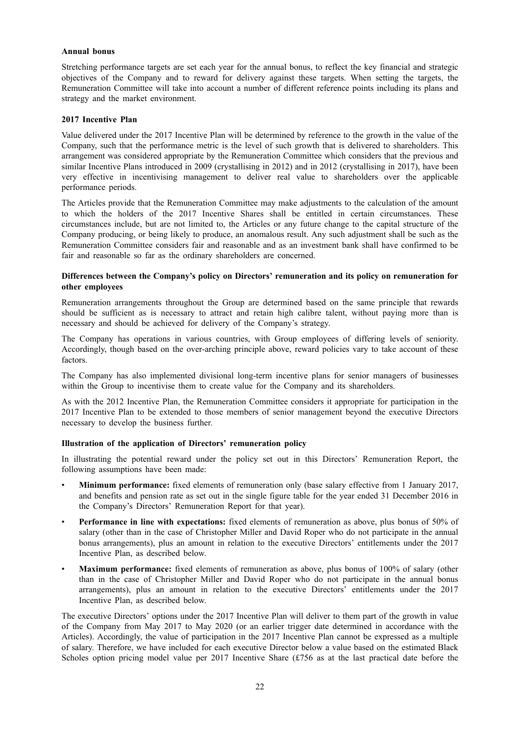#### **Annual bonus**

Stretching performance targets are set each year for the annual bonus, to reflect the key financial and strategic objectives of the Company and to reward for delivery against these targets. When setting the targets, the Remuneration Committee will take into account a number of different reference points including its plans and strategy and the market environment.

#### **2017 Incentive Plan**

Value delivered under the 2017 Incentive Plan will be determined by reference to the growth in the value of the Company, such that the performance metric is the level of such growth that is delivered to shareholders. This arrangement was considered appropriate by the Remuneration Committee which considers that the previous and similar Incentive Plans introduced in 2009 (crystallising in 2012) and in 2012 (crystallising in 2017), have been very effective in incentivising management to deliver real value to shareholders over the applicable performance periods.

The Articles provide that the Remuneration Committee may make adjustments to the calculation of the amount to which the holders of the 2017 Incentive Shares shall be entitled in certain circumstances. These circumstances include, but are not limited to, the Articles or any future change to the capital structure of the Company producing, or being likely to produce, an anomalous result. Any such adjustment shall be such as the Remuneration Committee considers fair and reasonable and as an investment bank shall have confirmed to be fair and reasonable so far as the ordinary shareholders are concerned.

## **Differences between the Company's policy on Directors' remuneration and its policy on remuneration for other employees**

Remuneration arrangements throughout the Group are determined based on the same principle that rewards should be sufficient as is necessary to attract and retain high calibre talent, without paying more than is necessary and should be achieved for delivery of the Company's strategy.

The Company has operations in various countries, with Group employees of differing levels of seniority. Accordingly, though based on the over-arching principle above, reward policies vary to take account of these factors.

The Company has also implemented divisional long-term incentive plans for senior managers of businesses within the Group to incentivise them to create value for the Company and its shareholders.

As with the 2012 Incentive Plan, the Remuneration Committee considers it appropriate for participation in the 2017 Incentive Plan to be extended to those members of senior management beyond the executive Directors necessary to develop the business further.

### **Illustration of the application of Directors' remuneration policy**

In illustrating the potential reward under the policy set out in this Directors' Remuneration Report, the following assumptions have been made:

- **Minimum performance:** fixed elements of remuneration only (base salary effective from 1 January 2017, and benefits and pension rate as set out in the single figure table for the year ended 31 December 2016 in the Company's Directors' Remuneration Report for that year).
- **Performance in line with expectations:** fixed elements of remuneration as above, plus bonus of 50% of salary (other than in the case of Christopher Miller and David Roper who do not participate in the annual bonus arrangements), plus an amount in relation to the executive Directors' entitlements under the 2017 Incentive Plan, as described below.
- **Maximum performance:** fixed elements of remuneration as above, plus bonus of 100% of salary (other than in the case of Christopher Miller and David Roper who do not participate in the annual bonus arrangements), plus an amount in relation to the executive Directors' entitlements under the 2017 Incentive Plan, as described below.

The executive Directors' options under the 2017 Incentive Plan will deliver to them part of the growth in value of the Company from May 2017 to May 2020 (or an earlier trigger date determined in accordance with the Articles). Accordingly, the value of participation in the 2017 Incentive Plan cannot be expressed as a multiple of salary. Therefore, we have included for each executive Director below a value based on the estimated Black Scholes option pricing model value per 2017 Incentive Share (£756 as at the last practical date before the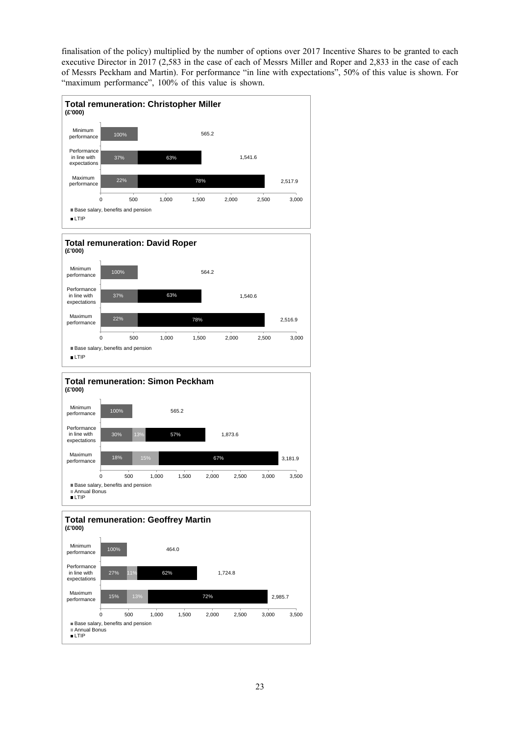finalisation of the policy) multiplied by the number of options over 2017 Incentive Shares to be granted to each executive Director in 2017 (2,583 in the case of each of Messrs Miller and Roper and 2,833 in the case of each of Messrs Peckham and Martin). For performance "in line with expectations", 50% of this value is shown. For "maximum performance", 100% of this value is shown.



Base salary, benefits and pension

Annual Bonus LTIP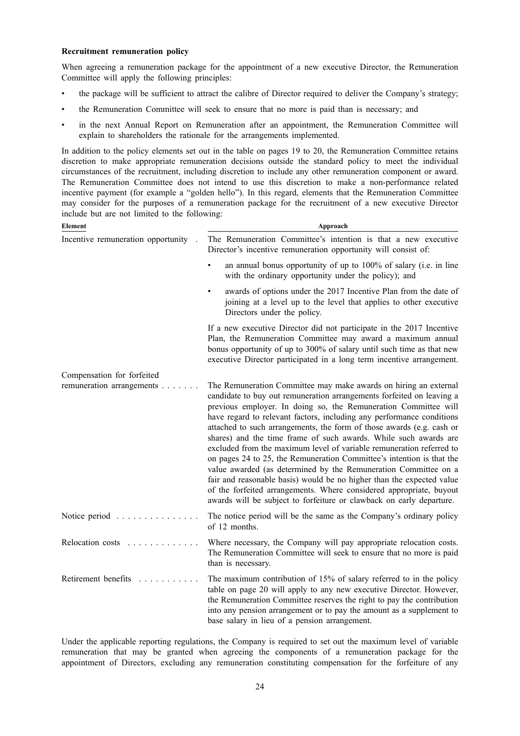#### **Recruitment remuneration policy**

When agreeing a remuneration package for the appointment of a new executive Director, the Remuneration Committee will apply the following principles:

- the package will be sufficient to attract the calibre of Director required to deliver the Company's strategy;
- the Remuneration Committee will seek to ensure that no more is paid than is necessary; and
- in the next Annual Report on Remuneration after an appointment, the Remuneration Committee will explain to shareholders the rationale for the arrangements implemented.

In addition to the policy elements set out in the table on pages 19 to 20, the Remuneration Committee retains discretion to make appropriate remuneration decisions outside the standard policy to meet the individual circumstances of the recruitment, including discretion to include any other remuneration component or award. The Remuneration Committee does not intend to use this discretion to make a non-performance related incentive payment (for example a "golden hello"). In this regard, elements that the Remuneration Committee may consider for the purposes of a remuneration package for the recruitment of a new executive Director include but are not limited to the following:

| Element                                                 | Approach                                                                                                                                                                                                                                                                                                                                                                                                                                                                                                                                                                                                                                                                                                                                                                                                                                                                       |
|---------------------------------------------------------|--------------------------------------------------------------------------------------------------------------------------------------------------------------------------------------------------------------------------------------------------------------------------------------------------------------------------------------------------------------------------------------------------------------------------------------------------------------------------------------------------------------------------------------------------------------------------------------------------------------------------------------------------------------------------------------------------------------------------------------------------------------------------------------------------------------------------------------------------------------------------------|
| Incentive remuneration opportunity                      | The Remuneration Committee's intention is that a new executive<br>Director's incentive remuneration opportunity will consist of:                                                                                                                                                                                                                                                                                                                                                                                                                                                                                                                                                                                                                                                                                                                                               |
|                                                         | an annual bonus opportunity of up to 100% of salary (i.e. in line<br>with the ordinary opportunity under the policy); and                                                                                                                                                                                                                                                                                                                                                                                                                                                                                                                                                                                                                                                                                                                                                      |
|                                                         | awards of options under the 2017 Incentive Plan from the date of<br>joining at a level up to the level that applies to other executive<br>Directors under the policy.                                                                                                                                                                                                                                                                                                                                                                                                                                                                                                                                                                                                                                                                                                          |
|                                                         | If a new executive Director did not participate in the 2017 Incentive<br>Plan, the Remuneration Committee may award a maximum annual<br>bonus opportunity of up to 300% of salary until such time as that new<br>executive Director participated in a long term incentive arrangement.                                                                                                                                                                                                                                                                                                                                                                                                                                                                                                                                                                                         |
| Compensation for forfeited<br>remuneration arrangements | The Remuneration Committee may make awards on hiring an external<br>candidate to buy out remuneration arrangements forfeited on leaving a<br>previous employer. In doing so, the Remuneration Committee will<br>have regard to relevant factors, including any performance conditions<br>attached to such arrangements, the form of those awards (e.g. cash or<br>shares) and the time frame of such awards. While such awards are<br>excluded from the maximum level of variable remuneration referred to<br>on pages 24 to 25, the Remuneration Committee's intention is that the<br>value awarded (as determined by the Remuneration Committee on a<br>fair and reasonable basis) would be no higher than the expected value<br>of the forfeited arrangements. Where considered appropriate, buyout<br>awards will be subject to forfeiture or clawback on early departure. |
| Notice period                                           | The notice period will be the same as the Company's ordinary policy<br>of 12 months.                                                                                                                                                                                                                                                                                                                                                                                                                                                                                                                                                                                                                                                                                                                                                                                           |
| Relocation costs                                        | Where necessary, the Company will pay appropriate relocation costs.<br>The Remuneration Committee will seek to ensure that no more is paid<br>than is necessary.                                                                                                                                                                                                                                                                                                                                                                                                                                                                                                                                                                                                                                                                                                               |
| Retirement benefits                                     | The maximum contribution of 15% of salary referred to in the policy<br>table on page 20 will apply to any new executive Director. However,<br>the Remuneration Committee reserves the right to pay the contribution<br>into any pension arrangement or to pay the amount as a supplement to<br>base salary in lieu of a pension arrangement.                                                                                                                                                                                                                                                                                                                                                                                                                                                                                                                                   |

Under the applicable reporting regulations, the Company is required to set out the maximum level of variable remuneration that may be granted when agreeing the components of a remuneration package for the appointment of Directors, excluding any remuneration constituting compensation for the forfeiture of any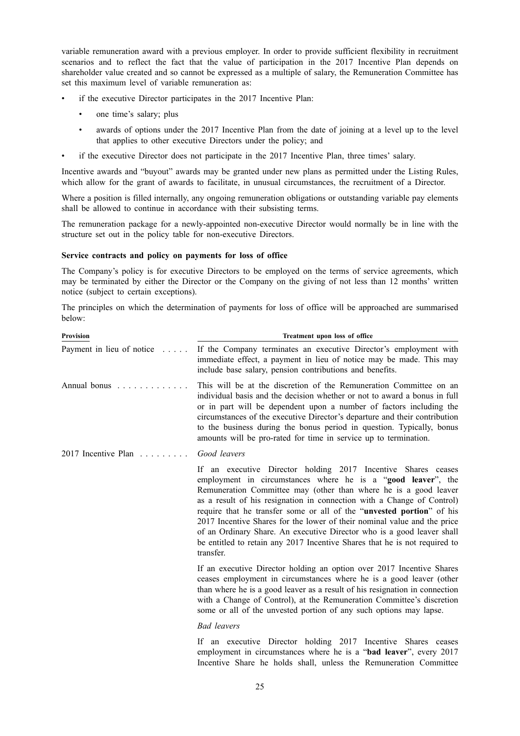variable remuneration award with a previous employer. In order to provide sufficient flexibility in recruitment scenarios and to reflect the fact that the value of participation in the 2017 Incentive Plan depends on shareholder value created and so cannot be expressed as a multiple of salary, the Remuneration Committee has set this maximum level of variable remuneration as:

- if the executive Director participates in the 2017 Incentive Plan:
	- one time's salary; plus
	- awards of options under the 2017 Incentive Plan from the date of joining at a level up to the level that applies to other executive Directors under the policy; and
- if the executive Director does not participate in the 2017 Incentive Plan, three times' salary.

Incentive awards and "buyout" awards may be granted under new plans as permitted under the Listing Rules, which allow for the grant of awards to facilitate, in unusual circumstances, the recruitment of a Director.

Where a position is filled internally, any ongoing remuneration obligations or outstanding variable pay elements shall be allowed to continue in accordance with their subsisting terms.

The remuneration package for a newly-appointed non-executive Director would normally be in line with the structure set out in the policy table for non-executive Directors.

#### **Service contracts and policy on payments for loss of office**

The Company's policy is for executive Directors to be employed on the terms of service agreements, which may be terminated by either the Director or the Company on the giving of not less than 12 months' written notice (subject to certain exceptions).

The principles on which the determination of payments for loss of office will be approached are summarised below:

| <b>Provision</b>             | Treatment upon loss of office                                                                                                                                                                                                                                                                                                                                                                                                                                                                                                                                                                         |
|------------------------------|-------------------------------------------------------------------------------------------------------------------------------------------------------------------------------------------------------------------------------------------------------------------------------------------------------------------------------------------------------------------------------------------------------------------------------------------------------------------------------------------------------------------------------------------------------------------------------------------------------|
| Payment in lieu of notice    | If the Company terminates an executive Director's employment with<br>immediate effect, a payment in lieu of notice may be made. This may<br>include base salary, pension contributions and benefits.                                                                                                                                                                                                                                                                                                                                                                                                  |
| Annual bonus                 | This will be at the discretion of the Remuneration Committee on an<br>individual basis and the decision whether or not to award a bonus in full<br>or in part will be dependent upon a number of factors including the<br>circumstances of the executive Director's departure and their contribution<br>to the business during the bonus period in question. Typically, bonus<br>amounts will be pro-rated for time in service up to termination.                                                                                                                                                     |
| 2017 Incentive Plan $\ldots$ | Good leavers                                                                                                                                                                                                                                                                                                                                                                                                                                                                                                                                                                                          |
|                              | If an executive Director holding 2017 Incentive Shares ceases<br>employment in circumstances where he is a "good leaver", the<br>Remuneration Committee may (other than where he is a good leaver<br>as a result of his resignation in connection with a Change of Control)<br>require that he transfer some or all of the "unvested portion" of his<br>2017 Incentive Shares for the lower of their nominal value and the price<br>of an Ordinary Share. An executive Director who is a good leaver shall<br>be entitled to retain any 2017 Incentive Shares that he is not required to<br>transfer. |
|                              | If an executive Director holding an option over 2017 Incentive Shares<br>ceases employment in circumstances where he is a good leaver (other<br>than where he is a good leaver as a result of his resignation in connection<br>with a Change of Control), at the Remuneration Committee's discretion<br>some or all of the unvested portion of any such options may lapse.                                                                                                                                                                                                                            |
|                              | <b>Bad</b> leavers                                                                                                                                                                                                                                                                                                                                                                                                                                                                                                                                                                                    |

If an executive Director holding 2017 Incentive Shares ceases employment in circumstances where he is a "**bad leaver**", every 2017 Incentive Share he holds shall, unless the Remuneration Committee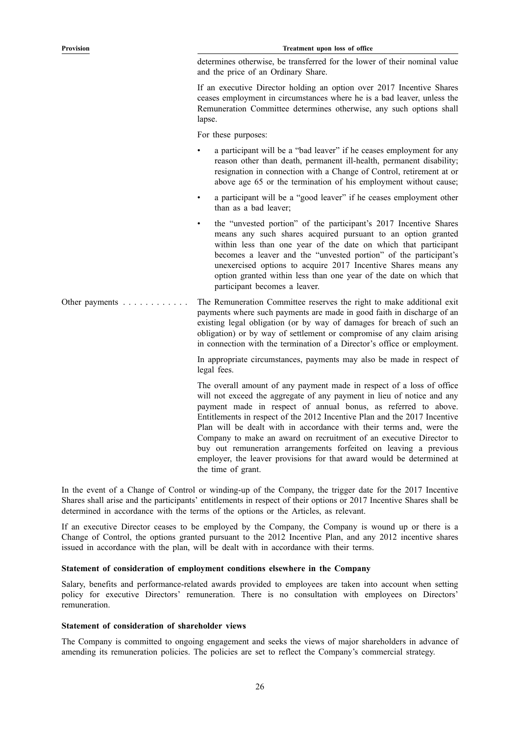determines otherwise, be transferred for the lower of their nominal value and the price of an Ordinary Share.

If an executive Director holding an option over 2017 Incentive Shares ceases employment in circumstances where he is a bad leaver, unless the Remuneration Committee determines otherwise, any such options shall lapse.

For these purposes:

- a participant will be a "bad leaver" if he ceases employment for any reason other than death, permanent ill-health, permanent disability; resignation in connection with a Change of Control, retirement at or above age 65 or the termination of his employment without cause;
- a participant will be a "good leaver" if he ceases employment other than as a bad leaver;
- the "unvested portion" of the participant's 2017 Incentive Shares means any such shares acquired pursuant to an option granted within less than one year of the date on which that participant becomes a leaver and the "unvested portion" of the participant's unexercised options to acquire 2017 Incentive Shares means any option granted within less than one year of the date on which that participant becomes a leaver.

Other payments . . . . . . . . . . . . The Remuneration Committee reserves the right to make additional exit payments where such payments are made in good faith in discharge of an existing legal obligation (or by way of damages for breach of such an obligation) or by way of settlement or compromise of any claim arising in connection with the termination of a Director's office or employment.

> In appropriate circumstances, payments may also be made in respect of legal fees.

> The overall amount of any payment made in respect of a loss of office will not exceed the aggregate of any payment in lieu of notice and any payment made in respect of annual bonus, as referred to above. Entitlements in respect of the 2012 Incentive Plan and the 2017 Incentive Plan will be dealt with in accordance with their terms and, were the Company to make an award on recruitment of an executive Director to buy out remuneration arrangements forfeited on leaving a previous employer, the leaver provisions for that award would be determined at the time of grant.

In the event of a Change of Control or winding-up of the Company, the trigger date for the 2017 Incentive Shares shall arise and the participants' entitlements in respect of their options or 2017 Incentive Shares shall be determined in accordance with the terms of the options or the Articles, as relevant.

If an executive Director ceases to be employed by the Company, the Company is wound up or there is a Change of Control, the options granted pursuant to the 2012 Incentive Plan, and any 2012 incentive shares issued in accordance with the plan, will be dealt with in accordance with their terms.

#### **Statement of consideration of employment conditions elsewhere in the Company**

Salary, benefits and performance-related awards provided to employees are taken into account when setting policy for executive Directors' remuneration. There is no consultation with employees on Directors' remuneration.

#### **Statement of consideration of shareholder views**

The Company is committed to ongoing engagement and seeks the views of major shareholders in advance of amending its remuneration policies. The policies are set to reflect the Company's commercial strategy.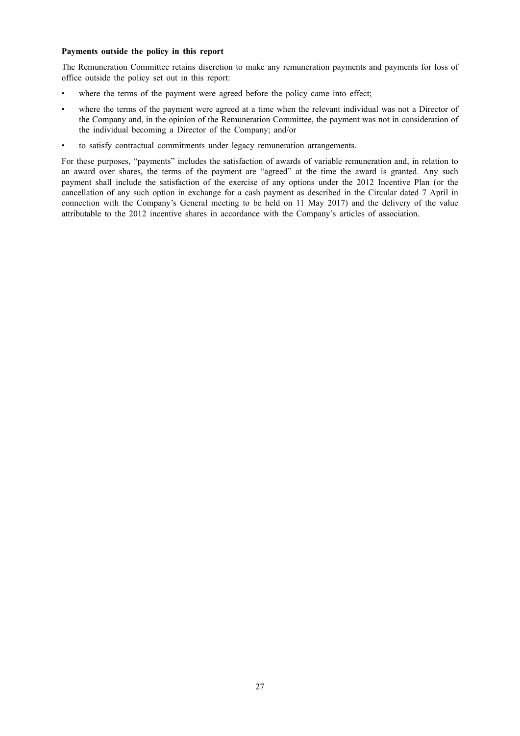#### **Payments outside the policy in this report**

The Remuneration Committee retains discretion to make any remuneration payments and payments for loss of office outside the policy set out in this report:

- where the terms of the payment were agreed before the policy came into effect;
- where the terms of the payment were agreed at a time when the relevant individual was not a Director of the Company and, in the opinion of the Remuneration Committee, the payment was not in consideration of the individual becoming a Director of the Company; and/or
- to satisfy contractual commitments under legacy remuneration arrangements.

For these purposes, "payments" includes the satisfaction of awards of variable remuneration and, in relation to an award over shares, the terms of the payment are "agreed" at the time the award is granted. Any such payment shall include the satisfaction of the exercise of any options under the 2012 Incentive Plan (or the cancellation of any such option in exchange for a cash payment as described in the Circular dated 7 April in connection with the Company's General meeting to be held on 11 May 2017) and the delivery of the value attributable to the 2012 incentive shares in accordance with the Company's articles of association.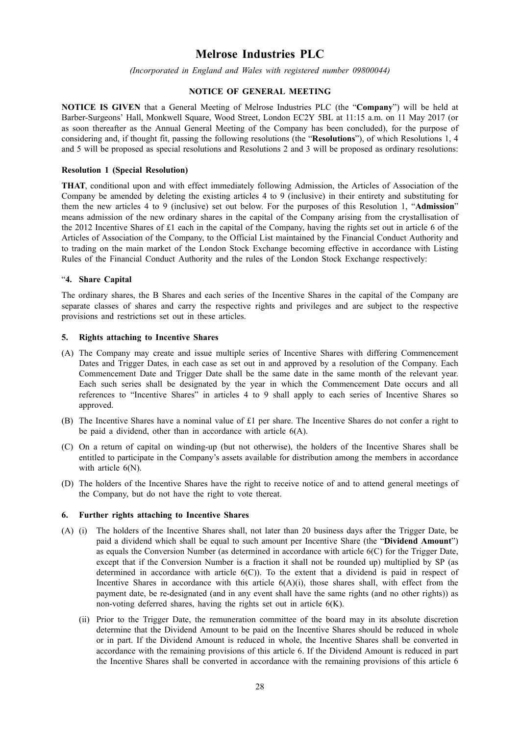# **Melrose Industries PLC**

*(Incorporated in England and Wales with registered number 09800044)*

# **NOTICE OF GENERAL MEETING**

**NOTICE IS GIVEN** that a General Meeting of Melrose Industries PLC (the "**Company**") will be held at Barber-Surgeons' Hall, Monkwell Square, Wood Street, London EC2Y 5BL at 11:15 a.m. on 11 May 2017 (or as soon thereafter as the Annual General Meeting of the Company has been concluded), for the purpose of considering and, if thought fit, passing the following resolutions (the "**Resolutions**"), of which Resolutions 1, 4 and 5 will be proposed as special resolutions and Resolutions 2 and 3 will be proposed as ordinary resolutions:

#### **Resolution 1 (Special Resolution)**

**THAT**, conditional upon and with effect immediately following Admission, the Articles of Association of the Company be amended by deleting the existing articles 4 to 9 (inclusive) in their entirety and substituting for them the new articles 4 to 9 (inclusive) set out below. For the purposes of this Resolution 1, "**Admission**" means admission of the new ordinary shares in the capital of the Company arising from the crystallisation of the 2012 Incentive Shares of £1 each in the capital of the Company, having the rights set out in article 6 of the Articles of Association of the Company, to the Official List maintained by the Financial Conduct Authority and to trading on the main market of the London Stock Exchange becoming effective in accordance with Listing Rules of the Financial Conduct Authority and the rules of the London Stock Exchange respectively:

#### "**4. Share Capital**

The ordinary shares, the B Shares and each series of the Incentive Shares in the capital of the Company are separate classes of shares and carry the respective rights and privileges and are subject to the respective provisions and restrictions set out in these articles.

#### **5. Rights attaching to Incentive Shares**

- (A) The Company may create and issue multiple series of Incentive Shares with differing Commencement Dates and Trigger Dates, in each case as set out in and approved by a resolution of the Company. Each Commencement Date and Trigger Date shall be the same date in the same month of the relevant year. Each such series shall be designated by the year in which the Commencement Date occurs and all references to "Incentive Shares" in articles 4 to 9 shall apply to each series of Incentive Shares so approved.
- (B) The Incentive Shares have a nominal value of £1 per share. The Incentive Shares do not confer a right to be paid a dividend, other than in accordance with article 6(A).
- (C) On a return of capital on winding-up (but not otherwise), the holders of the Incentive Shares shall be entitled to participate in the Company's assets available for distribution among the members in accordance with article  $6(N)$ .
- (D) The holders of the Incentive Shares have the right to receive notice of and to attend general meetings of the Company, but do not have the right to vote thereat.

#### **6. Further rights attaching to Incentive Shares**

- (A) (i) The holders of the Incentive Shares shall, not later than 20 business days after the Trigger Date, be paid a dividend which shall be equal to such amount per Incentive Share (the "**Dividend Amount**") as equals the Conversion Number (as determined in accordance with article 6(C) for the Trigger Date, except that if the Conversion Number is a fraction it shall not be rounded up) multiplied by SP (as determined in accordance with article 6(C)). To the extent that a dividend is paid in respect of Incentive Shares in accordance with this article  $6(A)(i)$ , those shares shall, with effect from the payment date, be re-designated (and in any event shall have the same rights (and no other rights)) as non-voting deferred shares, having the rights set out in article 6(K).
	- (ii) Prior to the Trigger Date, the remuneration committee of the board may in its absolute discretion determine that the Dividend Amount to be paid on the Incentive Shares should be reduced in whole or in part. If the Dividend Amount is reduced in whole, the Incentive Shares shall be converted in accordance with the remaining provisions of this article 6. If the Dividend Amount is reduced in part the Incentive Shares shall be converted in accordance with the remaining provisions of this article 6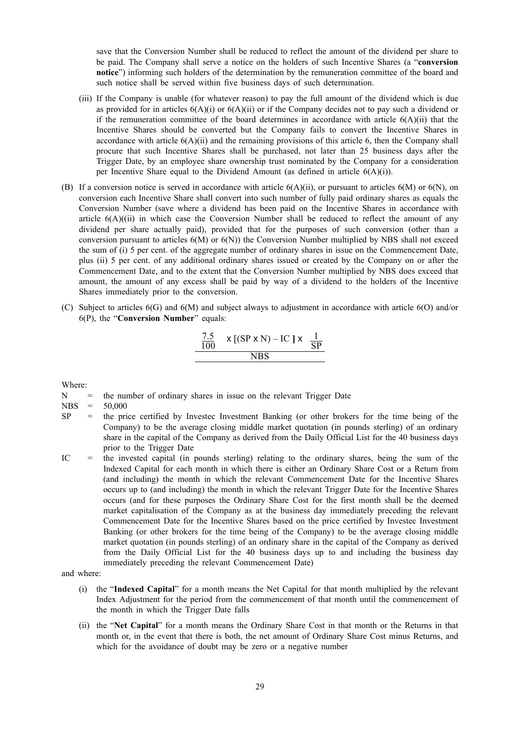save that the Conversion Number shall be reduced to reflect the amount of the dividend per share to be paid. The Company shall serve a notice on the holders of such Incentive Shares (a "**conversion notice**") informing such holders of the determination by the remuneration committee of the board and such notice shall be served within five business days of such determination.

- (iii) If the Company is unable (for whatever reason) to pay the full amount of the dividend which is due as provided for in articles 6(A)(i) or 6(A)(ii) or if the Company decides not to pay such a dividend or if the remuneration committee of the board determines in accordance with article  $6(A)(ii)$  that the Incentive Shares should be converted but the Company fails to convert the Incentive Shares in accordance with article  $6(A)(ii)$  and the remaining provisions of this article 6, then the Company shall procure that such Incentive Shares shall be purchased, not later than 25 business days after the Trigger Date, by an employee share ownership trust nominated by the Company for a consideration per Incentive Share equal to the Dividend Amount (as defined in article 6(A)(i)).
- (B) If a conversion notice is served in accordance with article  $6(A)(ii)$ , or pursuant to articles  $6(M)$  or  $6(N)$ , on conversion each Incentive Share shall convert into such number of fully paid ordinary shares as equals the Conversion Number (save where a dividend has been paid on the Incentive Shares in accordance with article  $6(A)((ii)$  in which case the Conversion Number shall be reduced to reflect the amount of any dividend per share actually paid), provided that for the purposes of such conversion (other than a conversion pursuant to articles  $6(M)$  or  $6(N)$ ) the Conversion Number multiplied by NBS shall not exceed the sum of (i) 5 per cent. of the aggregate number of ordinary shares in issue on the Commencement Date, plus (ii) 5 per cent. of any additional ordinary shares issued or created by the Company on or after the Commencement Date, and to the extent that the Conversion Number multiplied by NBS does exceed that amount, the amount of any excess shall be paid by way of a dividend to the holders of the Incentive Shares immediately prior to the conversion.
- (C) Subject to articles 6(G) and 6(M) and subject always to adjustment in accordance with article 6(O) and/or 6(P), the "**Conversion Number**" equals:

$$
\frac{7.5}{100} \times [(SP \times N) - IC ] \times \frac{1}{SP}
$$
  
NBS

Where:

 $N =$  the number of ordinary shares in issue on the relevant Trigger Date

NBS = 50,000

- $SP$  = the price certified by Investec Investment Banking (or other brokers for the time being of the Company) to be the average closing middle market quotation (in pounds sterling) of an ordinary share in the capital of the Company as derived from the Daily Official List for the 40 business days prior to the Trigger Date
- IC = the invested capital (in pounds sterling) relating to the ordinary shares, being the sum of the Indexed Capital for each month in which there is either an Ordinary Share Cost or a Return from (and including) the month in which the relevant Commencement Date for the Incentive Shares occurs up to (and including) the month in which the relevant Trigger Date for the Incentive Shares occurs (and for these purposes the Ordinary Share Cost for the first month shall be the deemed market capitalisation of the Company as at the business day immediately preceding the relevant Commencement Date for the Incentive Shares based on the price certified by Investec Investment Banking (or other brokers for the time being of the Company) to be the average closing middle market quotation (in pounds sterling) of an ordinary share in the capital of the Company as derived from the Daily Official List for the 40 business days up to and including the business day immediately preceding the relevant Commencement Date)

and where:

- (i) the "**Indexed Capital**" for a month means the Net Capital for that month multiplied by the relevant Index Adjustment for the period from the commencement of that month until the commencement of the month in which the Trigger Date falls
- (ii) the "**Net Capital**" for a month means the Ordinary Share Cost in that month or the Returns in that month or, in the event that there is both, the net amount of Ordinary Share Cost minus Returns, and which for the avoidance of doubt may be zero or a negative number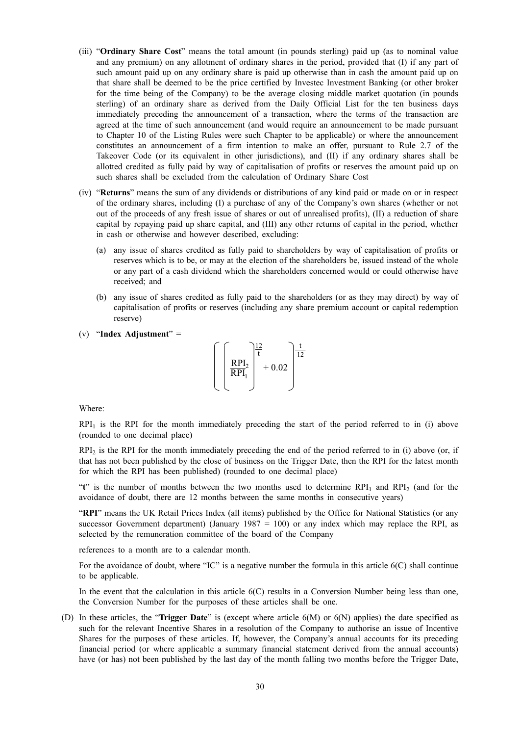- (iii) "**Ordinary Share Cost**" means the total amount (in pounds sterling) paid up (as to nominal value and any premium) on any allotment of ordinary shares in the period, provided that (I) if any part of such amount paid up on any ordinary share is paid up otherwise than in cash the amount paid up on that share shall be deemed to be the price certified by Investec Investment Banking (or other broker for the time being of the Company) to be the average closing middle market quotation (in pounds sterling) of an ordinary share as derived from the Daily Official List for the ten business days immediately preceding the announcement of a transaction, where the terms of the transaction are agreed at the time of such announcement (and would require an announcement to be made pursuant to Chapter 10 of the Listing Rules were such Chapter to be applicable) or where the announcement constitutes an announcement of a firm intention to make an offer, pursuant to Rule 2.7 of the Takeover Code (or its equivalent in other jurisdictions), and (II) if any ordinary shares shall be allotted credited as fully paid by way of capitalisation of profits or reserves the amount paid up on such shares shall be excluded from the calculation of Ordinary Share Cost
- (iv) "**Returns**" means the sum of any dividends or distributions of any kind paid or made on or in respect of the ordinary shares, including (I) a purchase of any of the Company's own shares (whether or not out of the proceeds of any fresh issue of shares or out of unrealised profits), (II) a reduction of share capital by repaying paid up share capital, and (III) any other returns of capital in the period, whether in cash or otherwise and however described, excluding:
	- (a) any issue of shares credited as fully paid to shareholders by way of capitalisation of profits or reserves which is to be, or may at the election of the shareholders be, issued instead of the whole or any part of a cash dividend which the shareholders concerned would or could otherwise have received; and
	- (b) any issue of shares credited as fully paid to the shareholders (or as they may direct) by way of capitalisation of profits or reserves (including any share premium account or capital redemption reserve)
- (v) "**Index Adjustment**" =



Where:

 $RPI<sub>1</sub>$  is the RPI for the month immediately preceding the start of the period referred to in (i) above (rounded to one decimal place)

 $RPI<sub>2</sub>$  is the RPI for the month immediately preceding the end of the period referred to in (i) above (or, if that has not been published by the close of business on the Trigger Date, then the RPI for the latest month for which the RPI has been published) (rounded to one decimal place)

"**t**" is the number of months between the two months used to determine RPI<sub>1</sub> and RPI<sub>2</sub> (and for the avoidance of doubt, there are 12 months between the same months in consecutive years)

"**RPI**" means the UK Retail Prices Index (all items) published by the Office for National Statistics (or any successor Government department) (January 1987 = 100) or any index which may replace the RPI, as selected by the remuneration committee of the board of the Company

references to a month are to a calendar month.

For the avoidance of doubt, where "IC" is a negative number the formula in this article 6(C) shall continue to be applicable.

In the event that the calculation in this article  $6(C)$  results in a Conversion Number being less than one, the Conversion Number for the purposes of these articles shall be one.

(D) In these articles, the "**Trigger Date**" is (except where article 6(M) or 6(N) applies) the date specified as such for the relevant Incentive Shares in a resolution of the Company to authorise an issue of Incentive Shares for the purposes of these articles. If, however, the Company's annual accounts for its preceding financial period (or where applicable a summary financial statement derived from the annual accounts) have (or has) not been published by the last day of the month falling two months before the Trigger Date,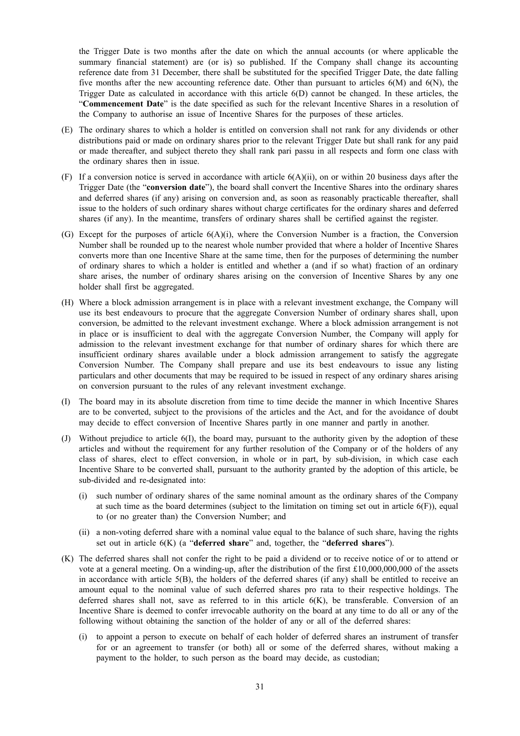the Trigger Date is two months after the date on which the annual accounts (or where applicable the summary financial statement) are (or is) so published. If the Company shall change its accounting reference date from 31 December, there shall be substituted for the specified Trigger Date, the date falling five months after the new accounting reference date. Other than pursuant to articles 6(M) and 6(N), the Trigger Date as calculated in accordance with this article 6(D) cannot be changed. In these articles, the "**Commencement Date**" is the date specified as such for the relevant Incentive Shares in a resolution of the Company to authorise an issue of Incentive Shares for the purposes of these articles.

- (E) The ordinary shares to which a holder is entitled on conversion shall not rank for any dividends or other distributions paid or made on ordinary shares prior to the relevant Trigger Date but shall rank for any paid or made thereafter, and subject thereto they shall rank pari passu in all respects and form one class with the ordinary shares then in issue.
- (F) If a conversion notice is served in accordance with article  $6(A)(ii)$ , on or within 20 business days after the Trigger Date (the "**conversion date**"), the board shall convert the Incentive Shares into the ordinary shares and deferred shares (if any) arising on conversion and, as soon as reasonably practicable thereafter, shall issue to the holders of such ordinary shares without charge certificates for the ordinary shares and deferred shares (if any). In the meantime, transfers of ordinary shares shall be certified against the register.
- (G) Except for the purposes of article 6(A)(i), where the Conversion Number is a fraction, the Conversion Number shall be rounded up to the nearest whole number provided that where a holder of Incentive Shares converts more than one Incentive Share at the same time, then for the purposes of determining the number of ordinary shares to which a holder is entitled and whether a (and if so what) fraction of an ordinary share arises, the number of ordinary shares arising on the conversion of Incentive Shares by any one holder shall first be aggregated.
- (H) Where a block admission arrangement is in place with a relevant investment exchange, the Company will use its best endeavours to procure that the aggregate Conversion Number of ordinary shares shall, upon conversion, be admitted to the relevant investment exchange. Where a block admission arrangement is not in place or is insufficient to deal with the aggregate Conversion Number, the Company will apply for admission to the relevant investment exchange for that number of ordinary shares for which there are insufficient ordinary shares available under a block admission arrangement to satisfy the aggregate Conversion Number. The Company shall prepare and use its best endeavours to issue any listing particulars and other documents that may be required to be issued in respect of any ordinary shares arising on conversion pursuant to the rules of any relevant investment exchange.
- (I) The board may in its absolute discretion from time to time decide the manner in which Incentive Shares are to be converted, subject to the provisions of the articles and the Act, and for the avoidance of doubt may decide to effect conversion of Incentive Shares partly in one manner and partly in another.
- (J) Without prejudice to article 6(I), the board may, pursuant to the authority given by the adoption of these articles and without the requirement for any further resolution of the Company or of the holders of any class of shares, elect to effect conversion, in whole or in part, by sub-division, in which case each Incentive Share to be converted shall, pursuant to the authority granted by the adoption of this article, be sub-divided and re-designated into:
	- (i) such number of ordinary shares of the same nominal amount as the ordinary shares of the Company at such time as the board determines (subject to the limitation on timing set out in article  $6(F)$ ), equal to (or no greater than) the Conversion Number; and
	- (ii) a non-voting deferred share with a nominal value equal to the balance of such share, having the rights set out in article 6(K) (a "**deferred share**" and, together, the "**deferred shares**").
- (K) The deferred shares shall not confer the right to be paid a dividend or to receive notice of or to attend or vote at a general meeting. On a winding-up, after the distribution of the first £10,000,000,000 of the assets in accordance with article 5(B), the holders of the deferred shares (if any) shall be entitled to receive an amount equal to the nominal value of such deferred shares pro rata to their respective holdings. The deferred shares shall not, save as referred to in this article  $6(K)$ , be transferable. Conversion of an Incentive Share is deemed to confer irrevocable authority on the board at any time to do all or any of the following without obtaining the sanction of the holder of any or all of the deferred shares:
	- (i) to appoint a person to execute on behalf of each holder of deferred shares an instrument of transfer for or an agreement to transfer (or both) all or some of the deferred shares, without making a payment to the holder, to such person as the board may decide, as custodian;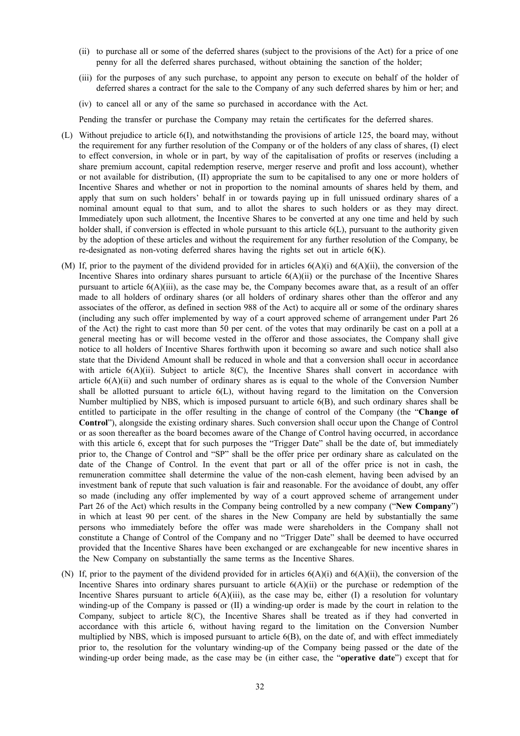- (ii) to purchase all or some of the deferred shares (subject to the provisions of the Act) for a price of one penny for all the deferred shares purchased, without obtaining the sanction of the holder;
- (iii) for the purposes of any such purchase, to appoint any person to execute on behalf of the holder of deferred shares a contract for the sale to the Company of any such deferred shares by him or her; and
- (iv) to cancel all or any of the same so purchased in accordance with the Act.

Pending the transfer or purchase the Company may retain the certificates for the deferred shares.

- (L) Without prejudice to article 6(I), and notwithstanding the provisions of article 125, the board may, without the requirement for any further resolution of the Company or of the holders of any class of shares, (I) elect to effect conversion, in whole or in part, by way of the capitalisation of profits or reserves (including a share premium account, capital redemption reserve, merger reserve and profit and loss account), whether or not available for distribution, (II) appropriate the sum to be capitalised to any one or more holders of Incentive Shares and whether or not in proportion to the nominal amounts of shares held by them, and apply that sum on such holders' behalf in or towards paying up in full unissued ordinary shares of a nominal amount equal to that sum, and to allot the shares to such holders or as they may direct. Immediately upon such allotment, the Incentive Shares to be converted at any one time and held by such holder shall, if conversion is effected in whole pursuant to this article 6(L), pursuant to the authority given by the adoption of these articles and without the requirement for any further resolution of the Company, be re-designated as non-voting deferred shares having the rights set out in article  $6(K)$ .
- (M) If, prior to the payment of the dividend provided for in articles  $6(A)(i)$  and  $6(A)(ii)$ , the conversion of the Incentive Shares into ordinary shares pursuant to article  $6(A)(ii)$  or the purchase of the Incentive Shares pursuant to article 6(A)(iii), as the case may be, the Company becomes aware that, as a result of an offer made to all holders of ordinary shares (or all holders of ordinary shares other than the offeror and any associates of the offeror, as defined in section 988 of the Act) to acquire all or some of the ordinary shares (including any such offer implemented by way of a court approved scheme of arrangement under Part 26 of the Act) the right to cast more than 50 per cent. of the votes that may ordinarily be cast on a poll at a general meeting has or will become vested in the offeror and those associates, the Company shall give notice to all holders of Incentive Shares forthwith upon it becoming so aware and such notice shall also state that the Dividend Amount shall be reduced in whole and that a conversion shall occur in accordance with article  $6(A)(ii)$ . Subject to article  $8(C)$ , the Incentive Shares shall convert in accordance with article 6(A)(ii) and such number of ordinary shares as is equal to the whole of the Conversion Number shall be allotted pursuant to article 6(L), without having regard to the limitation on the Conversion Number multiplied by NBS, which is imposed pursuant to article 6(B), and such ordinary shares shall be entitled to participate in the offer resulting in the change of control of the Company (the "**Change of Control**"), alongside the existing ordinary shares. Such conversion shall occur upon the Change of Control or as soon thereafter as the board becomes aware of the Change of Control having occurred, in accordance with this article 6, except that for such purposes the "Trigger Date" shall be the date of, but immediately prior to, the Change of Control and "SP" shall be the offer price per ordinary share as calculated on the date of the Change of Control. In the event that part or all of the offer price is not in cash, the remuneration committee shall determine the value of the non-cash element, having been advised by an investment bank of repute that such valuation is fair and reasonable. For the avoidance of doubt, any offer so made (including any offer implemented by way of a court approved scheme of arrangement under Part 26 of the Act) which results in the Company being controlled by a new company ("**New Company**") in which at least 90 per cent. of the shares in the New Company are held by substantially the same persons who immediately before the offer was made were shareholders in the Company shall not constitute a Change of Control of the Company and no "Trigger Date" shall be deemed to have occurred provided that the Incentive Shares have been exchanged or are exchangeable for new incentive shares in the New Company on substantially the same terms as the Incentive Shares.
- (N) If, prior to the payment of the dividend provided for in articles  $6(A)(i)$  and  $6(A)(ii)$ , the conversion of the Incentive Shares into ordinary shares pursuant to article  $6(A)(ii)$  or the purchase or redemption of the Incentive Shares pursuant to article  $6(A)(iii)$ , as the case may be, either (I) a resolution for voluntary winding-up of the Company is passed or (II) a winding-up order is made by the court in relation to the Company, subject to article 8(C), the Incentive Shares shall be treated as if they had converted in accordance with this article 6, without having regard to the limitation on the Conversion Number multiplied by NBS, which is imposed pursuant to article 6(B), on the date of, and with effect immediately prior to, the resolution for the voluntary winding-up of the Company being passed or the date of the winding-up order being made, as the case may be (in either case, the "**operative date**") except that for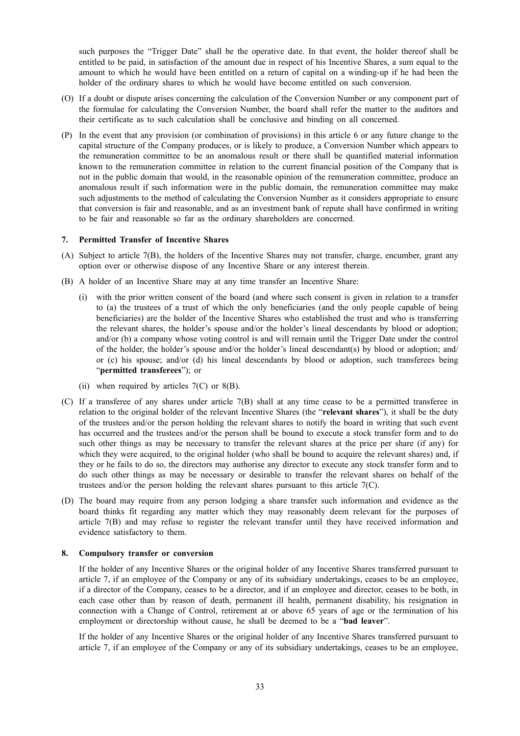such purposes the "Trigger Date" shall be the operative date. In that event, the holder thereof shall be entitled to be paid, in satisfaction of the amount due in respect of his Incentive Shares, a sum equal to the amount to which he would have been entitled on a return of capital on a winding-up if he had been the holder of the ordinary shares to which he would have become entitled on such conversion.

- (O) If a doubt or dispute arises concerning the calculation of the Conversion Number or any component part of the formulae for calculating the Conversion Number, the board shall refer the matter to the auditors and their certificate as to such calculation shall be conclusive and binding on all concerned.
- (P) In the event that any provision (or combination of provisions) in this article 6 or any future change to the capital structure of the Company produces, or is likely to produce, a Conversion Number which appears to the remuneration committee to be an anomalous result or there shall be quantified material information known to the remuneration committee in relation to the current financial position of the Company that is not in the public domain that would, in the reasonable opinion of the remuneration committee, produce an anomalous result if such information were in the public domain, the remuneration committee may make such adjustments to the method of calculating the Conversion Number as it considers appropriate to ensure that conversion is fair and reasonable, and as an investment bank of repute shall have confirmed in writing to be fair and reasonable so far as the ordinary shareholders are concerned.

#### **7. Permitted Transfer of Incentive Shares**

- (A) Subject to article 7(B), the holders of the Incentive Shares may not transfer, charge, encumber, grant any option over or otherwise dispose of any Incentive Share or any interest therein.
- (B) A holder of an Incentive Share may at any time transfer an Incentive Share:
	- (i) with the prior written consent of the board (and where such consent is given in relation to a transfer to (a) the trustees of a trust of which the only beneficiaries (and the only people capable of being beneficiaries) are the holder of the Incentive Shares who established the trust and who is transferring the relevant shares, the holder's spouse and/or the holder's lineal descendants by blood or adoption; and/or (b) a company whose voting control is and will remain until the Trigger Date under the control of the holder, the holder's spouse and/or the holder's lineal descendant(s) by blood or adoption; and/ or (c) his spouse; and/or (d) his lineal descendants by blood or adoption, such transferees being "**permitted transferees**"); or
	- (ii) when required by articles  $7(C)$  or  $8(B)$ .
- (C) If a transferee of any shares under article 7(B) shall at any time cease to be a permitted transferee in relation to the original holder of the relevant Incentive Shares (the "**relevant shares**"), it shall be the duty of the trustees and/or the person holding the relevant shares to notify the board in writing that such event has occurred and the trustees and/or the person shall be bound to execute a stock transfer form and to do such other things as may be necessary to transfer the relevant shares at the price per share (if any) for which they were acquired, to the original holder (who shall be bound to acquire the relevant shares) and, if they or he fails to do so, the directors may authorise any director to execute any stock transfer form and to do such other things as may be necessary or desirable to transfer the relevant shares on behalf of the trustees and/or the person holding the relevant shares pursuant to this article  $7(C)$ .
- (D) The board may require from any person lodging a share transfer such information and evidence as the board thinks fit regarding any matter which they may reasonably deem relevant for the purposes of article 7(B) and may refuse to register the relevant transfer until they have received information and evidence satisfactory to them.

#### **8. Compulsory transfer or conversion**

If the holder of any Incentive Shares or the original holder of any Incentive Shares transferred pursuant to article 7, if an employee of the Company or any of its subsidiary undertakings, ceases to be an employee, if a director of the Company, ceases to be a director, and if an employee and director, ceases to be both, in each case other than by reason of death, permanent ill health, permanent disability, his resignation in connection with a Change of Control, retirement at or above 65 years of age or the termination of his employment or directorship without cause, he shall be deemed to be a "**bad leaver**".

If the holder of any Incentive Shares or the original holder of any Incentive Shares transferred pursuant to article 7, if an employee of the Company or any of its subsidiary undertakings, ceases to be an employee,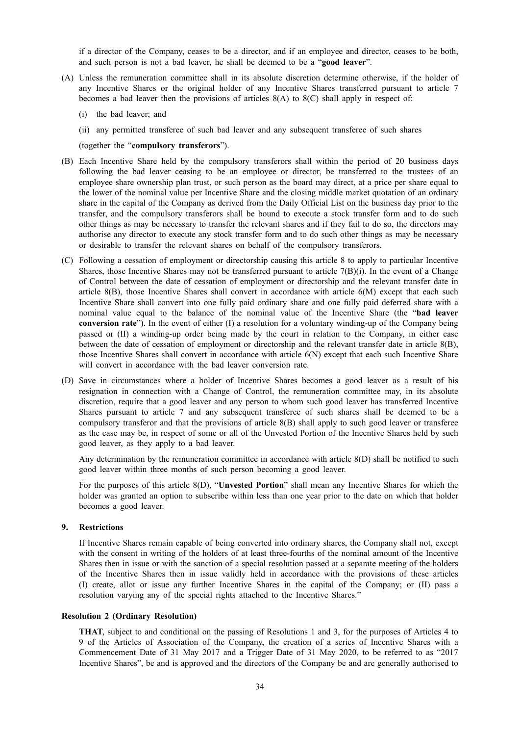if a director of the Company, ceases to be a director, and if an employee and director, ceases to be both, and such person is not a bad leaver, he shall be deemed to be a "**good leaver**".

- (A) Unless the remuneration committee shall in its absolute discretion determine otherwise, if the holder of any Incentive Shares or the original holder of any Incentive Shares transferred pursuant to article 7 becomes a bad leaver then the provisions of articles  $8(A)$  to  $8(C)$  shall apply in respect of:
	- (i) the bad leaver; and
	- (ii) any permitted transferee of such bad leaver and any subsequent transferee of such shares

(together the "**compulsory transferors**").

- (B) Each Incentive Share held by the compulsory transferors shall within the period of 20 business days following the bad leaver ceasing to be an employee or director, be transferred to the trustees of an employee share ownership plan trust, or such person as the board may direct, at a price per share equal to the lower of the nominal value per Incentive Share and the closing middle market quotation of an ordinary share in the capital of the Company as derived from the Daily Official List on the business day prior to the transfer, and the compulsory transferors shall be bound to execute a stock transfer form and to do such other things as may be necessary to transfer the relevant shares and if they fail to do so, the directors may authorise any director to execute any stock transfer form and to do such other things as may be necessary or desirable to transfer the relevant shares on behalf of the compulsory transferors.
- (C) Following a cessation of employment or directorship causing this article 8 to apply to particular Incentive Shares, those Incentive Shares may not be transferred pursuant to article  $7(B)(i)$ . In the event of a Change of Control between the date of cessation of employment or directorship and the relevant transfer date in article 8(B), those Incentive Shares shall convert in accordance with article 6(M) except that each such Incentive Share shall convert into one fully paid ordinary share and one fully paid deferred share with a nominal value equal to the balance of the nominal value of the Incentive Share (the "**bad leaver conversion rate**"). In the event of either (I) a resolution for a voluntary winding-up of the Company being passed or (II) a winding-up order being made by the court in relation to the Company, in either case between the date of cessation of employment or directorship and the relevant transfer date in article 8(B), those Incentive Shares shall convert in accordance with article 6(N) except that each such Incentive Share will convert in accordance with the bad leaver conversion rate.
- (D) Save in circumstances where a holder of Incentive Shares becomes a good leaver as a result of his resignation in connection with a Change of Control, the remuneration committee may, in its absolute discretion, require that a good leaver and any person to whom such good leaver has transferred Incentive Shares pursuant to article 7 and any subsequent transferee of such shares shall be deemed to be a compulsory transferor and that the provisions of article 8(B) shall apply to such good leaver or transferee as the case may be, in respect of some or all of the Unvested Portion of the Incentive Shares held by such good leaver, as they apply to a bad leaver.

Any determination by the remuneration committee in accordance with article 8(D) shall be notified to such good leaver within three months of such person becoming a good leaver.

For the purposes of this article 8(D), "**Unvested Portion**" shall mean any Incentive Shares for which the holder was granted an option to subscribe within less than one year prior to the date on which that holder becomes a good leaver.

#### **9. Restrictions**

If Incentive Shares remain capable of being converted into ordinary shares, the Company shall not, except with the consent in writing of the holders of at least three-fourths of the nominal amount of the Incentive Shares then in issue or with the sanction of a special resolution passed at a separate meeting of the holders of the Incentive Shares then in issue validly held in accordance with the provisions of these articles (I) create, allot or issue any further Incentive Shares in the capital of the Company; or (II) pass a resolution varying any of the special rights attached to the Incentive Shares."

#### **Resolution 2 (Ordinary Resolution)**

**THAT**, subject to and conditional on the passing of Resolutions 1 and 3, for the purposes of Articles 4 to 9 of the Articles of Association of the Company, the creation of a series of Incentive Shares with a Commencement Date of 31 May 2017 and a Trigger Date of 31 May 2020, to be referred to as "2017 Incentive Shares", be and is approved and the directors of the Company be and are generally authorised to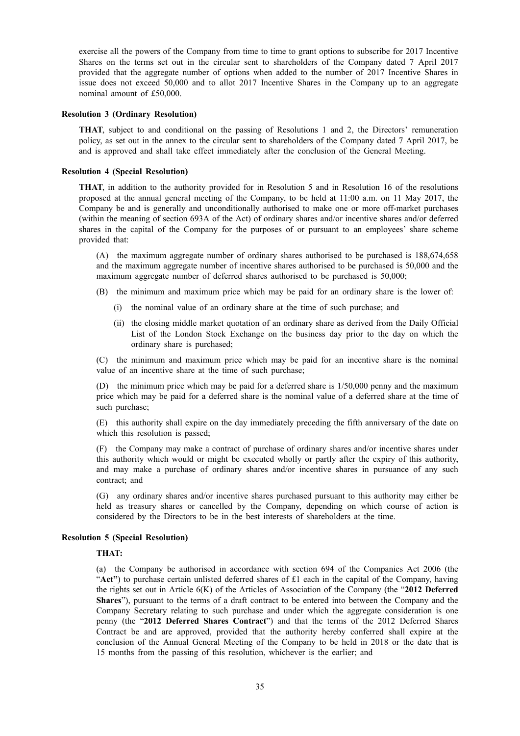exercise all the powers of the Company from time to time to grant options to subscribe for 2017 Incentive Shares on the terms set out in the circular sent to shareholders of the Company dated 7 April 2017 provided that the aggregate number of options when added to the number of 2017 Incentive Shares in issue does not exceed 50,000 and to allot 2017 Incentive Shares in the Company up to an aggregate nominal amount of £50,000.

#### **Resolution 3 (Ordinary Resolution)**

**THAT**, subject to and conditional on the passing of Resolutions 1 and 2, the Directors' remuneration policy, as set out in the annex to the circular sent to shareholders of the Company dated 7 April 2017, be and is approved and shall take effect immediately after the conclusion of the General Meeting.

#### **Resolution 4 (Special Resolution)**

**THAT**, in addition to the authority provided for in Resolution 5 and in Resolution 16 of the resolutions proposed at the annual general meeting of the Company, to be held at 11:00 a.m. on 11 May 2017, the Company be and is generally and unconditionally authorised to make one or more off-market purchases (within the meaning of section 693A of the Act) of ordinary shares and/or incentive shares and/or deferred shares in the capital of the Company for the purposes of or pursuant to an employees' share scheme provided that:

(A) the maximum aggregate number of ordinary shares authorised to be purchased is 188,674,658 and the maximum aggregate number of incentive shares authorised to be purchased is 50,000 and the maximum aggregate number of deferred shares authorised to be purchased is 50,000;

- (B) the minimum and maximum price which may be paid for an ordinary share is the lower of:
	- (i) the nominal value of an ordinary share at the time of such purchase; and
	- (ii) the closing middle market quotation of an ordinary share as derived from the Daily Official List of the London Stock Exchange on the business day prior to the day on which the ordinary share is purchased;

(C) the minimum and maximum price which may be paid for an incentive share is the nominal value of an incentive share at the time of such purchase;

(D) the minimum price which may be paid for a deferred share is 1/50,000 penny and the maximum price which may be paid for a deferred share is the nominal value of a deferred share at the time of such purchase;

(E) this authority shall expire on the day immediately preceding the fifth anniversary of the date on which this resolution is passed;

(F) the Company may make a contract of purchase of ordinary shares and/or incentive shares under this authority which would or might be executed wholly or partly after the expiry of this authority, and may make a purchase of ordinary shares and/or incentive shares in pursuance of any such contract; and

(G) any ordinary shares and/or incentive shares purchased pursuant to this authority may either be held as treasury shares or cancelled by the Company, depending on which course of action is considered by the Directors to be in the best interests of shareholders at the time.

#### **Resolution 5 (Special Resolution)**

### **THAT:**

(a) the Company be authorised in accordance with section 694 of the Companies Act 2006 (the "**Act"**) to purchase certain unlisted deferred shares of £1 each in the capital of the Company, having the rights set out in Article 6(K) of the Articles of Association of the Company (the "**2012 Deferred Shares**"), pursuant to the terms of a draft contract to be entered into between the Company and the Company Secretary relating to such purchase and under which the aggregate consideration is one penny (the "**2012 Deferred Shares Contract**") and that the terms of the 2012 Deferred Shares Contract be and are approved, provided that the authority hereby conferred shall expire at the conclusion of the Annual General Meeting of the Company to be held in 2018 or the date that is 15 months from the passing of this resolution, whichever is the earlier; and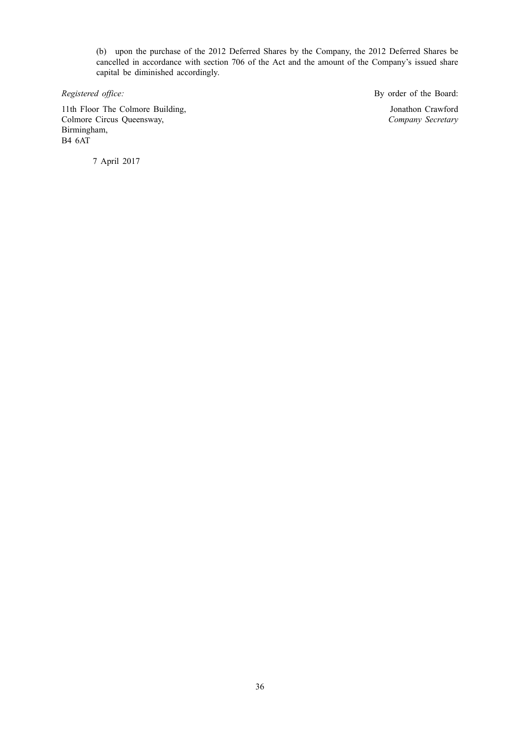(b) upon the purchase of the 2012 Deferred Shares by the Company, the 2012 Deferred Shares be cancelled in accordance with section 706 of the Act and the amount of the Company's issued share capital be diminished accordingly.

11th Floor The Colmore Building, Colmore Circus Queensway, Birmingham, B4 6AT

*Registered office:* By order of the Board:

Jonathon Crawford *Company Secretary*

7 April 2017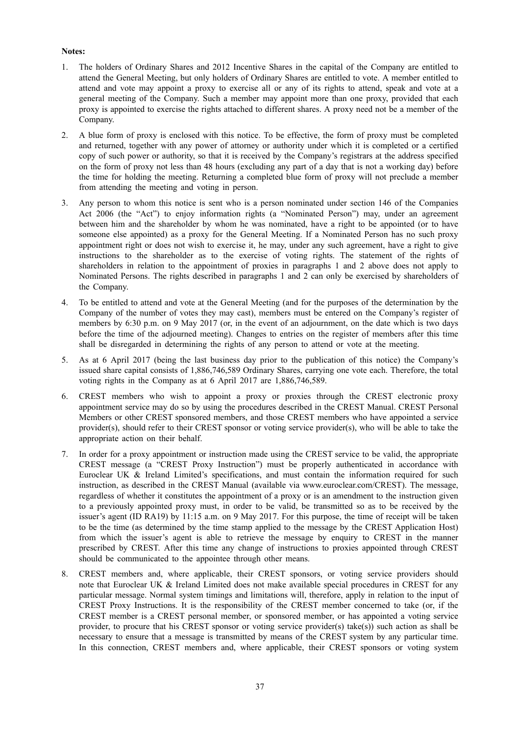# **Notes:**

- 1. The holders of Ordinary Shares and 2012 Incentive Shares in the capital of the Company are entitled to attend the General Meeting, but only holders of Ordinary Shares are entitled to vote. A member entitled to attend and vote may appoint a proxy to exercise all or any of its rights to attend, speak and vote at a general meeting of the Company. Such a member may appoint more than one proxy, provided that each proxy is appointed to exercise the rights attached to different shares. A proxy need not be a member of the Company.
- 2. A blue form of proxy is enclosed with this notice. To be effective, the form of proxy must be completed and returned, together with any power of attorney or authority under which it is completed or a certified copy of such power or authority, so that it is received by the Company's registrars at the address specified on the form of proxy not less than 48 hours (excluding any part of a day that is not a working day) before the time for holding the meeting. Returning a completed blue form of proxy will not preclude a member from attending the meeting and voting in person.
- 3. Any person to whom this notice is sent who is a person nominated under section 146 of the Companies Act 2006 (the "Act") to enjoy information rights (a "Nominated Person") may, under an agreement between him and the shareholder by whom he was nominated, have a right to be appointed (or to have someone else appointed) as a proxy for the General Meeting. If a Nominated Person has no such proxy appointment right or does not wish to exercise it, he may, under any such agreement, have a right to give instructions to the shareholder as to the exercise of voting rights. The statement of the rights of shareholders in relation to the appointment of proxies in paragraphs 1 and 2 above does not apply to Nominated Persons. The rights described in paragraphs 1 and 2 can only be exercised by shareholders of the Company.
- 4. To be entitled to attend and vote at the General Meeting (and for the purposes of the determination by the Company of the number of votes they may cast), members must be entered on the Company's register of members by 6:30 p.m. on 9 May 2017 (or, in the event of an adjournment, on the date which is two days before the time of the adjourned meeting). Changes to entries on the register of members after this time shall be disregarded in determining the rights of any person to attend or vote at the meeting.
- 5. As at 6 April 2017 (being the last business day prior to the publication of this notice) the Company's issued share capital consists of 1,886,746,589 Ordinary Shares, carrying one vote each. Therefore, the total voting rights in the Company as at 6 April 2017 are 1,886,746,589.
- 6. CREST members who wish to appoint a proxy or proxies through the CREST electronic proxy appointment service may do so by using the procedures described in the CREST Manual. CREST Personal Members or other CREST sponsored members, and those CREST members who have appointed a service provider(s), should refer to their CREST sponsor or voting service provider(s), who will be able to take the appropriate action on their behalf.
- 7. In order for a proxy appointment or instruction made using the CREST service to be valid, the appropriate CREST message (a "CREST Proxy Instruction") must be properly authenticated in accordance with Euroclear UK & Ireland Limited's specifications, and must contain the information required for such instruction, as described in the CREST Manual (available via www.euroclear.com/CREST). The message, regardless of whether it constitutes the appointment of a proxy or is an amendment to the instruction given to a previously appointed proxy must, in order to be valid, be transmitted so as to be received by the issuer's agent (ID RA19) by 11:15 a.m. on 9 May 2017. For this purpose, the time of receipt will be taken to be the time (as determined by the time stamp applied to the message by the CREST Application Host) from which the issuer's agent is able to retrieve the message by enquiry to CREST in the manner prescribed by CREST. After this time any change of instructions to proxies appointed through CREST should be communicated to the appointee through other means.
- 8. CREST members and, where applicable, their CREST sponsors, or voting service providers should note that Euroclear UK & Ireland Limited does not make available special procedures in CREST for any particular message. Normal system timings and limitations will, therefore, apply in relation to the input of CREST Proxy Instructions. It is the responsibility of the CREST member concerned to take (or, if the CREST member is a CREST personal member, or sponsored member, or has appointed a voting service provider, to procure that his CREST sponsor or voting service provider(s) take(s)) such action as shall be necessary to ensure that a message is transmitted by means of the CREST system by any particular time. In this connection, CREST members and, where applicable, their CREST sponsors or voting system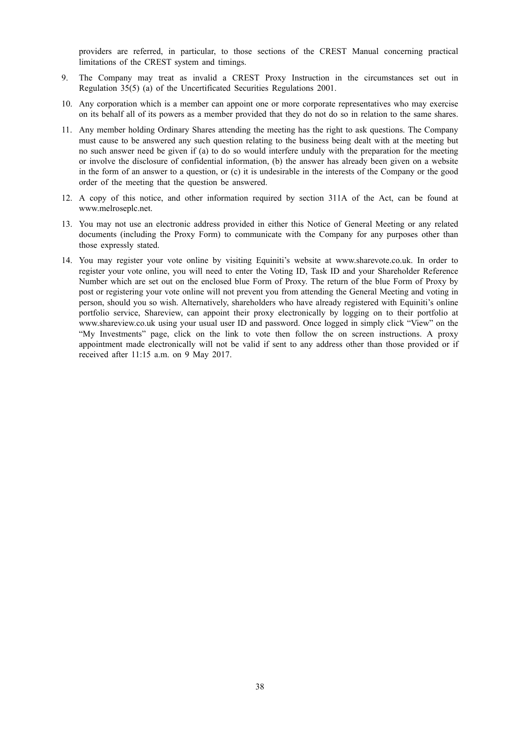providers are referred, in particular, to those sections of the CREST Manual concerning practical limitations of the CREST system and timings.

- 9. The Company may treat as invalid a CREST Proxy Instruction in the circumstances set out in Regulation 35(5) (a) of the Uncertificated Securities Regulations 2001.
- 10. Any corporation which is a member can appoint one or more corporate representatives who may exercise on its behalf all of its powers as a member provided that they do not do so in relation to the same shares.
- 11. Any member holding Ordinary Shares attending the meeting has the right to ask questions. The Company must cause to be answered any such question relating to the business being dealt with at the meeting but no such answer need be given if (a) to do so would interfere unduly with the preparation for the meeting or involve the disclosure of confidential information, (b) the answer has already been given on a website in the form of an answer to a question, or (c) it is undesirable in the interests of the Company or the good order of the meeting that the question be answered.
- 12. A copy of this notice, and other information required by section 311A of the Act, can be found at www.melroseplc.net.
- 13. You may not use an electronic address provided in either this Notice of General Meeting or any related documents (including the Proxy Form) to communicate with the Company for any purposes other than those expressly stated.
- 14. You may register your vote online by visiting Equiniti's website at www.sharevote.co.uk. In order to register your vote online, you will need to enter the Voting ID, Task ID and your Shareholder Reference Number which are set out on the enclosed blue Form of Proxy. The return of the blue Form of Proxy by post or registering your vote online will not prevent you from attending the General Meeting and voting in person, should you so wish. Alternatively, shareholders who have already registered with Equiniti's online portfolio service, Shareview, can appoint their proxy electronically by logging on to their portfolio at www.shareview.co.uk using your usual user ID and password. Once logged in simply click "View" on the "My Investments" page, click on the link to vote then follow the on screen instructions. A proxy appointment made electronically will not be valid if sent to any address other than those provided or if received after 11:15 a.m. on 9 May 2017.